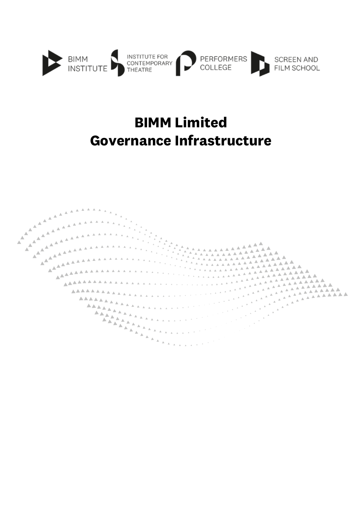

### **BIMM Limited Governance Infrastructure**

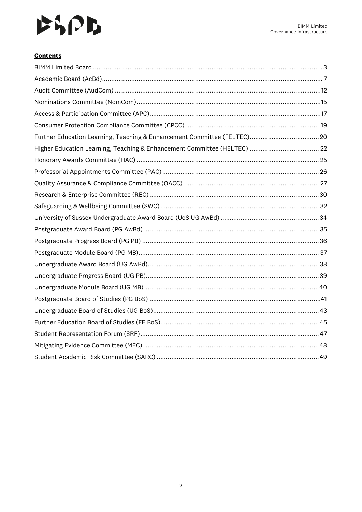## $P$

#### **Contents**

| Higher Education Learning, Teaching & Enhancement Committee (HELTEC)  22 |
|--------------------------------------------------------------------------|
|                                                                          |
|                                                                          |
|                                                                          |
|                                                                          |
|                                                                          |
|                                                                          |
|                                                                          |
|                                                                          |
|                                                                          |
|                                                                          |
|                                                                          |
|                                                                          |
|                                                                          |
|                                                                          |
|                                                                          |
|                                                                          |
|                                                                          |
|                                                                          |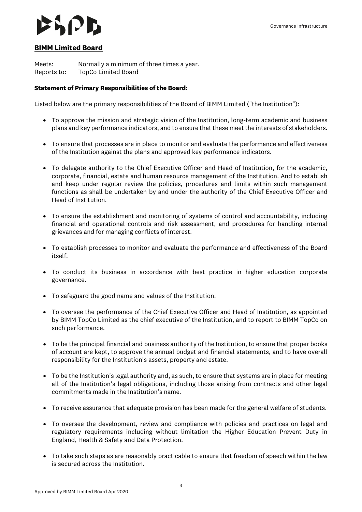### <span id="page-2-0"></span>**BIMM Limited Board**

Meets: Normally a minimum of three times a year. Reports to: TopCo Limited Board

#### **Statement of Primary Responsibilities of the Board:**

Listed below are the primary responsibilities of the Board of BIMM Limited ("the Institution"):

- To approve the mission and strategic vision of the Institution, long-term academic and business plans and key performance indicators, and to ensure that these meet the interests of stakeholders.
- To ensure that processes are in place to monitor and evaluate the performance and effectiveness of the Institution against the plans and approved key performance indicators.
- To delegate authority to the Chief Executive Officer and Head of Institution, for the academic, corporate, financial, estate and human resource management of the Institution. And to establish and keep under regular review the policies, procedures and limits within such management functions as shall be undertaken by and under the authority of the Chief Executive Officer and Head of Institution.
- To ensure the establishment and monitoring of systems of control and accountability, including financial and operational controls and risk assessment, and procedures for handling internal grievances and for managing conflicts of interest.
- To establish processes to monitor and evaluate the performance and effectiveness of the Board itself.
- To conduct its business in accordance with best practice in higher education corporate governance.
- To safeguard the good name and values of the Institution.
- To oversee the performance of the Chief Executive Officer and Head of Institution, as appointed by BIMM TopCo Limited as the chief executive of the Institution, and to report to BIMM TopCo on such performance.
- To be the principal financial and business authority of the Institution, to ensure that proper books of account are kept, to approve the annual budget and financial statements, and to have overall responsibility for the Institution's assets, property and estate.
- To be the Institution's legal authority and, as such, to ensure that systems are in place for meeting all of the Institution's legal obligations, including those arising from contracts and other legal commitments made in the Institution's name.
- To receive assurance that adequate provision has been made for the general welfare of students.
- To oversee the development, review and compliance with policies and practices on legal and regulatory requirements including without limitation the Higher Education Prevent Duty in England, Health & Safety and Data Protection.
- To take such steps as are reasonably practicable to ensure that freedom of speech within the law is secured across the Institution.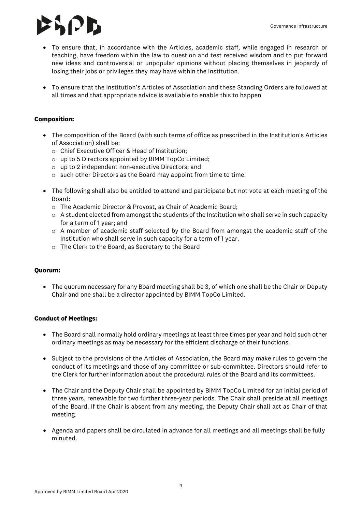## **IPD**

- To ensure that, in accordance with the Articles, academic staff, while engaged in research or teaching, have freedom within the law to question and test received wisdom and to put forward new ideas and controversial or unpopular opinions without placing themselves in jeopardy of losing their jobs or privileges they may have within the Institution.
- To ensure that the Institution's Articles of Association and these Standing Orders are followed at all times and that appropriate advice is available to enable this to happen

#### **Composition:**

- The composition of the Board (with such terms of office as prescribed in the Institution's Articles of Association) shall be:
	- o Chief Executive Officer & Head of Institution;
	- o up to 5 Directors appointed by BIMM TopCo Limited;
	- o up to 2 independent non-executive Directors; and
	- o such other Directors as the Board may appoint from time to time.
- The following shall also be entitled to attend and participate but not vote at each meeting of the Board:
	- o The Academic Director & Provost, as Chair of Academic Board;
	- $\circ$  A student elected from amongst the students of the Institution who shall serve in such capacity for a term of 1 year; and
	- $\circ$  A member of academic staff selected by the Board from amongst the academic staff of the Institution who shall serve in such capacity for a term of 1 year.
	- o The Clerk to the Board, as Secretary to the Board

#### **Quorum:**

• The quorum necessary for any Board meeting shall be 3, of which one shall be the Chair or Deputy Chair and one shall be a director appointed by BIMM TopCo Limited.

#### **Conduct of Meetings:**

- The Board shall normally hold ordinary meetings at least three times per year and hold such other ordinary meetings as may be necessary for the efficient discharge of their functions.
- Subject to the provisions of the Articles of Association, the Board may make rules to govern the conduct of its meetings and those of any committee or sub-committee. Directors should refer to the Clerk for further information about the procedural rules of the Board and its committees.
- The Chair and the Deputy Chair shall be appointed by BIMM TopCo Limited for an initial period of three years, renewable for two further three-year periods. The Chair shall preside at all meetings of the Board. If the Chair is absent from any meeting, the Deputy Chair shall act as Chair of that meeting.
- Agenda and papers shall be circulated in advance for all meetings and all meetings shall be fully minuted.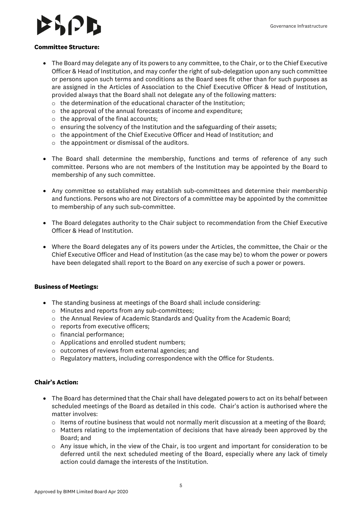#### **Committee Structure:**

- The Board may delegate any of its powers to any committee, to the Chair, or to the Chief Executive Officer & Head of Institution, and may confer the right of sub-delegation upon any such committee or persons upon such terms and conditions as the Board sees fit other than for such purposes as are assigned in the Articles of Association to the Chief Executive Officer & Head of Institution, provided always that the Board shall not delegate any of the following matters:
	- o the determination of the educational character of the Institution;
	- o the approval of the annual forecasts of income and expenditure;
	- o the approval of the final accounts;
	- o ensuring the solvency of the Institution and the safeguarding of their assets;
	- $\circ$  the appointment of the Chief Executive Officer and Head of Institution; and
	- o the appointment or dismissal of the auditors.
- The Board shall determine the membership, functions and terms of reference of any such committee. Persons who are not members of the Institution may be appointed by the Board to membership of any such committee.
- Any committee so established may establish sub-committees and determine their membership and functions. Persons who are not Directors of a committee may be appointed by the committee to membership of any such sub-committee.
- The Board delegates authority to the Chair subject to recommendation from the Chief Executive Officer & Head of Institution.
- Where the Board delegates any of its powers under the Articles, the committee, the Chair or the Chief Executive Officer and Head of Institution (as the case may be) to whom the power or powers have been delegated shall report to the Board on any exercise of such a power or powers.

#### **Business of Meetings:**

- The standing business at meetings of the Board shall include considering:
	- o Minutes and reports from any sub-committees;
	- $\circ$  the Annual Review of Academic Standards and Quality from the Academic Board;
	- o reports from executive officers;
	- o financial performance;
	- o Applications and enrolled student numbers;
	- o outcomes of reviews from external agencies; and
	- $\circ$  Regulatory matters, including correspondence with the Office for Students.

- The Board has determined that the Chair shall have delegated powers to act on its behalf between scheduled meetings of the Board as detailed in this code. Chair's action is authorised where the matter involves:
	- o Items of routine business that would not normally merit discussion at a meeting of the Board;
	- $\circ$  Matters relating to the implementation of decisions that have already been approved by the Board; and
	- $\circ$  Any issue which, in the view of the Chair, is too urgent and important for consideration to be deferred until the next scheduled meeting of the Board, especially where any lack of timely action could damage the interests of the Institution.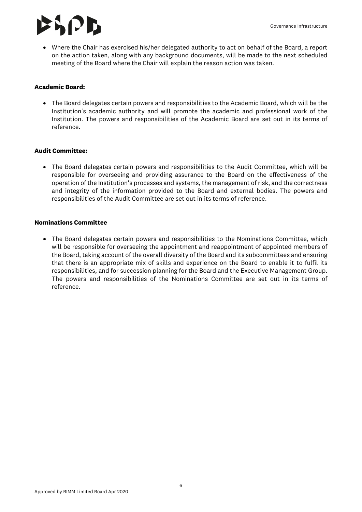### SRPD.

• Where the Chair has exercised his/her delegated authority to act on behalf of the Board, a report on the action taken, along with any background documents, will be made to the next scheduled meeting of the Board where the Chair will explain the reason action was taken.

#### **Academic Board:**

• The Board delegates certain powers and responsibilities to the Academic Board, which will be the Institution's academic authority and will promote the academic and professional work of the Institution. The powers and responsibilities of the Academic Board are set out in its terms of reference.

#### **Audit Committee:**

• The Board delegates certain powers and responsibilities to the Audit Committee, which will be responsible for overseeing and providing assurance to the Board on the effectiveness of the operation of the Institution's processes and systems, the management of risk, and the correctness and integrity of the information provided to the Board and external bodies. The powers and responsibilities of the Audit Committee are set out in its terms of reference.

#### **Nominations Committee**

• The Board delegates certain powers and responsibilities to the Nominations Committee, which will be responsible for overseeing the appointment and reappointment of appointed members of the Board, taking account of the overall diversity of the Board and its subcommittees and ensuring that there is an appropriate mix of skills and experience on the Board to enable it to fulfil its responsibilities, and for succession planning for the Board and the Executive Management Group. The powers and responsibilities of the Nominations Committee are set out in its terms of reference.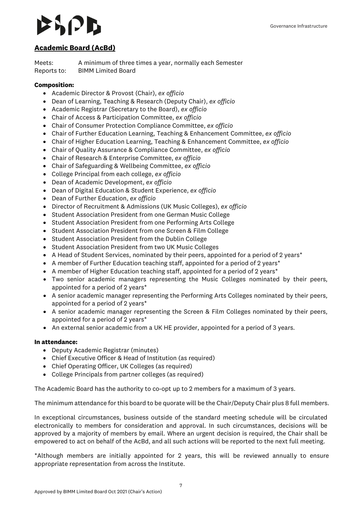## 8 I 2 B

### <span id="page-6-0"></span>**Academic Board (AcBd)**

Meets: A minimum of three times a year, normally each Semester Reports to: BIMM Limited Board

#### **Composition:**

- Academic Director & Provost (Chair), *ex officio*
- Dean of Learning, Teaching & Research (Deputy Chair), *ex officio*
- Academic Registrar (Secretary to the Board), *ex officio*
- Chair of Access & Participation Committee, *ex officio*
- Chair of Consumer Protection Compliance Committee, *ex officio*
- Chair of Further Education Learning, Teaching & Enhancement Committee, *ex officio*
- Chair of Higher Education Learning, Teaching & Enhancement Committee, *ex officio*
- Chair of Quality Assurance & Compliance Committee, *ex officio*
- Chair of Research & Enterprise Committee, *ex officio*
- Chair of Safeguarding & Wellbeing Committee, *ex officio*
- College Principal from each college, *ex officio*
- Dean of Academic Development, *ex officio*
- Dean of Digital Education & Student Experience, *ex officio*
- Dean of Further Education, *ex officio*
- Director of Recruitment & Admissions (UK Music Colleges), *ex officio*
- Student Association President from one German Music College
- Student Association President from one Performing Arts College
- Student Association President from one Screen & Film College
- Student Association President from the Dublin College
- Student Association President from two UK Music Colleges
- A Head of Student Services, nominated by their peers, appointed for a period of 2 years\*
- A member of Further Education teaching staff, appointed for a period of 2 years\*
- A member of Higher Education teaching staff, appointed for a period of 2 years\*
- Two senior academic managers representing the Music Colleges nominated by their peers, appointed for a period of 2 years\*
- A senior academic manager representing the Performing Arts Colleges nominated by their peers, appointed for a period of 2 years\*
- A senior academic manager representing the Screen & Film Colleges nominated by their peers, appointed for a period of 2 years\*
- An external senior academic from a UK HE provider, appointed for a period of 3 years.

#### **In attendance:**

- Deputy Academic Registrar (minutes)
- Chief Executive Officer & Head of Institution (as required)
- Chief Operating Officer, UK Colleges (as required)
- College Principals from partner colleges (as required)

The Academic Board has the authority to co-opt up to 2 members for a maximum of 3 years.

The minimum attendance for this board to be quorate will be the Chair/Deputy Chair plus 8 full members.

In exceptional circumstances, business outside of the standard meeting schedule will be circulated electronically to members for consideration and approval. In such circumstances, decisions will be approved by a majority of members by email. Where an urgent decision is required, the Chair shall be empowered to act on behalf of the AcBd, and all such actions will be reported to the next full meeting.

\*Although members are initially appointed for 2 years, this will be reviewed annually to ensure appropriate representation from across the Institute.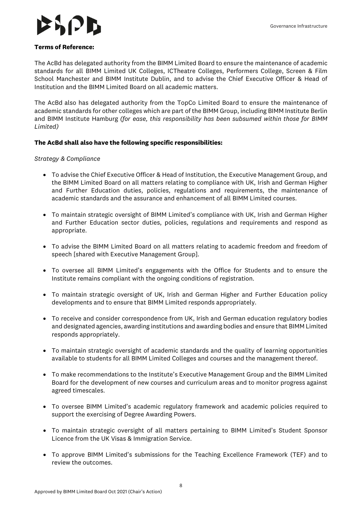

#### **Terms of Reference:**

The AcBd has delegated authority from the BIMM Limited Board to ensure the maintenance of academic standards for all BIMM Limited UK Colleges, ICTheatre Colleges, Performers College, Screen & Film School Manchester and BIMM Institute Dublin, and to advise the Chief Executive Officer & Head of Institution and the BIMM Limited Board on all academic matters.

The AcBd also has delegated authority from the TopCo Limited Board to ensure the maintenance of academic standards for other colleges which are part of the BIMM Group, including BIMM Institute Berlin and BIMM Institute Hamburg *(for ease, this responsibility has been subsumed within those for BIMM Limited)*

#### **The AcBd shall also have the following specific responsibilities:**

#### *Strategy & Compliance*

- To advise the Chief Executive Officer & Head of Institution, the Executive Management Group, and the BIMM Limited Board on all matters relating to compliance with UK, Irish and German Higher and Further Education duties, policies, regulations and requirements, the maintenance of academic standards and the assurance and enhancement of all BIMM Limited courses.
- To maintain strategic oversight of BIMM Limited's compliance with UK, Irish and German Higher and Further Education sector duties, policies, regulations and requirements and respond as appropriate.
- To advise the BIMM Limited Board on all matters relating to academic freedom and freedom of speech [shared with Executive Management Group].
- To oversee all BIMM Limited's engagements with the Office for Students and to ensure the Institute remains compliant with the ongoing conditions of registration.
- To maintain strategic oversight of UK, Irish and German Higher and Further Education policy developments and to ensure that BIMM Limited responds appropriately.
- To receive and consider correspondence from UK, Irish and German education regulatory bodies and designated agencies, awarding institutions and awarding bodies and ensure that BIMM Limited responds appropriately.
- To maintain strategic oversight of academic standards and the quality of learning opportunities available to students for all BIMM Limited Colleges and courses and the management thereof.
- To make recommendations to the Institute's Executive Management Group and the BIMM Limited Board for the development of new courses and curriculum areas and to monitor progress against agreed timescales.
- To oversee BIMM Limited's academic regulatory framework and academic policies required to support the exercising of Degree Awarding Powers.
- To maintain strategic oversight of all matters pertaining to BIMM Limited's Student Sponsor Licence from the UK Visas & Immigration Service.
- To approve BIMM Limited's submissions for the Teaching Excellence Framework (TEF) and to review the outcomes.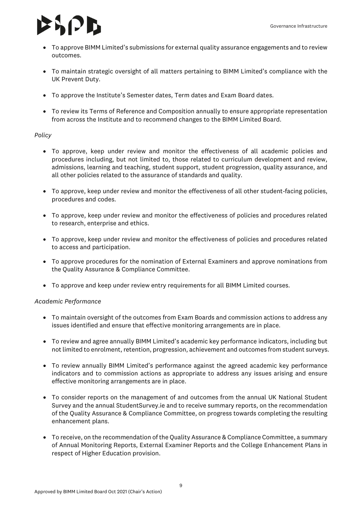## $|J|$

- To approve BIMM Limited's submissions for external quality assurance engagements and to review outcomes.
- To maintain strategic oversight of all matters pertaining to BIMM Limited's compliance with the UK Prevent Duty.
- To approve the Institute's Semester dates, Term dates and Exam Board dates.
- To review its Terms of Reference and Composition annually to ensure appropriate representation from across the Institute and to recommend changes to the BIMM Limited Board.

#### *Policy*

- To approve, keep under review and monitor the effectiveness of all academic policies and procedures including, but not limited to, those related to curriculum development and review, admissions, learning and teaching, student support, student progression, quality assurance, and all other policies related to the assurance of standards and quality.
- To approve, keep under review and monitor the effectiveness of all other student-facing policies, procedures and codes.
- To approve, keep under review and monitor the effectiveness of policies and procedures related to research, enterprise and ethics.
- To approve, keep under review and monitor the effectiveness of policies and procedures related to access and participation.
- To approve procedures for the nomination of External Examiners and approve nominations from the Quality Assurance & Compliance Committee.
- To approve and keep under review entry requirements for all BIMM Limited courses.

#### *Academic Performance*

- To maintain oversight of the outcomes from Exam Boards and commission actions to address any issues identified and ensure that effective monitoring arrangements are in place.
- To review and agree annually BIMM Limited's academic key performance indicators, including but not limited to enrolment, retention, progression, achievement and outcomes from student surveys.
- To review annually BIMM Limited's performance against the agreed academic key performance indicators and to commission actions as appropriate to address any issues arising and ensure effective monitoring arrangements are in place.
- To consider reports on the management of and outcomes from the annual UK National Student Survey and the annual StudentSurvey.ie and to receive summary reports, on the recommendation of the Quality Assurance & Compliance Committee, on progress towards completing the resulting enhancement plans.
- To receive, on the recommendation of the Quality Assurance & Compliance Committee, a summary of Annual Monitoring Reports, External Examiner Reports and the College Enhancement Plans in respect of Higher Education provision.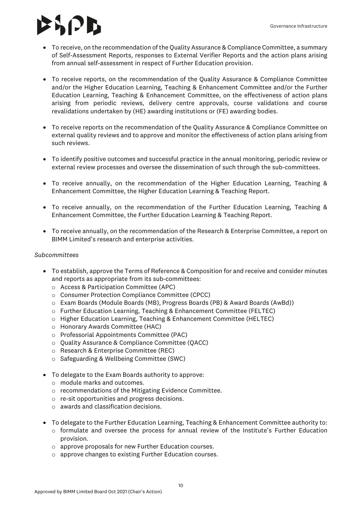# 8 12 B

- To receive, on the recommendation of the Quality Assurance & Compliance Committee, a summary of Self-Assessment Reports, responses to External Verifier Reports and the action plans arising from annual self-assessment in respect of Further Education provision.
- To receive reports, on the recommendation of the Quality Assurance & Compliance Committee and/or the Higher Education Learning, Teaching & Enhancement Committee and/or the Further Education Learning, Teaching & Enhancement Committee, on the effectiveness of action plans arising from periodic reviews, delivery centre approvals, course validations and course revalidations undertaken by (HE) awarding institutions or (FE) awarding bodies.
- To receive reports on the recommendation of the Quality Assurance & Compliance Committee on external quality reviews and to approve and monitor the effectiveness of action plans arising from such reviews.
- To identify positive outcomes and successful practice in the annual monitoring, periodic review or external review processes and oversee the dissemination of such through the sub-committees.
- To receive annually, on the recommendation of the Higher Education Learning, Teaching & Enhancement Committee, the Higher Education Learning & Teaching Report.
- To receive annually, on the recommendation of the Further Education Learning, Teaching & Enhancement Committee, the Further Education Learning & Teaching Report.
- To receive annually, on the recommendation of the Research & Enterprise Committee, a report on BIMM Limited's research and enterprise activities.

#### *Subcommittees*

- To establish, approve the Terms of Reference & Composition for and receive and consider minutes and reports as appropriate from its sub-committees:
	- o Access & Participation Committee (APC)
	- o Consumer Protection Compliance Committee (CPCC)
	- o Exam Boards (Module Boards (MB), Progress Boards (PB) & Award Boards (AwBd))
	- o Further Education Learning, Teaching & Enhancement Committee (FELTEC)
	- $\circ$  Higher Education Learning, Teaching & Enhancement Committee (HELTEC)
	- o Honorary Awards Committee (HAC)
	- o Professorial Appointments Committee (PAC)
	- o Quality Assurance & Compliance Committee (QACC)
	- o Research & Enterprise Committee (REC)
	- o Safeguarding & Wellbeing Committee (SWC)
- To delegate to the Exam Boards authority to approve:
	- o module marks and outcomes.
	- o recommendations of the Mitigating Evidence Committee.
	- o re-sit opportunities and progress decisions.
	- o awards and classification decisions.
- To delegate to the Further Education Learning, Teaching & Enhancement Committee authority to:
	- $\circ$  formulate and oversee the process for annual review of the Institute's Further Education provision.
	- o approve proposals for new Further Education courses.
	- o approve changes to existing Further Education courses.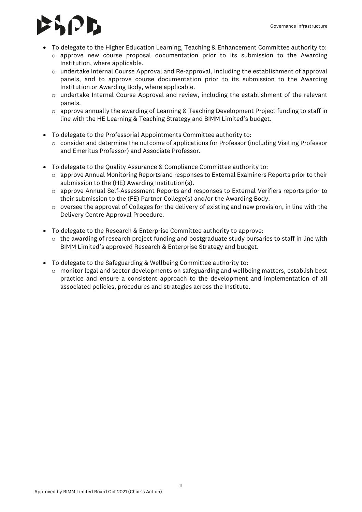## **IPB**

- To delegate to the Higher Education Learning, Teaching & Enhancement Committee authority to:
	- o approve new course proposal documentation prior to its submission to the Awarding Institution, where applicable.
	- $\circ$  undertake Internal Course Approval and Re-approval, including the establishment of approval panels, and to approve course documentation prior to its submission to the Awarding Institution or Awarding Body, where applicable.
	- $\circ$  undertake Internal Course Approval and review, including the establishment of the relevant panels.
	- $\circ$  approve annually the awarding of Learning & Teaching Development Project funding to staff in line with the HE Learning & Teaching Strategy and BIMM Limited's budget.
- To delegate to the Professorial Appointments Committee authority to:
	- $\circ$  consider and determine the outcome of applications for Professor (including Visiting Professor and Emeritus Professor) and Associate Professor.
- To delegate to the Quality Assurance & Compliance Committee authority to:
	- $\circ$  approve Annual Monitoring Reports and responses to External Examiners Reports prior to their submission to the (HE) Awarding Institution(s).
	- o approve Annual Self-Assessment Reports and responses to External Verifiers reports prior to their submission to the (FE) Partner College(s) and/or the Awarding Body.
	- $\circ$  oversee the approval of Colleges for the delivery of existing and new provision, in line with the Delivery Centre Approval Procedure.
- To delegate to the Research & Enterprise Committee authority to approve:
	- $\circ$  the awarding of research project funding and postgraduate study bursaries to staff in line with BIMM Limited's approved Research & Enterprise Strategy and budget.
- To delegate to the Safeguarding & Wellbeing Committee authority to:
	- o monitor legal and sector developments on safeguarding and wellbeing matters, establish best practice and ensure a consistent approach to the development and implementation of all associated policies, procedures and strategies across the Institute.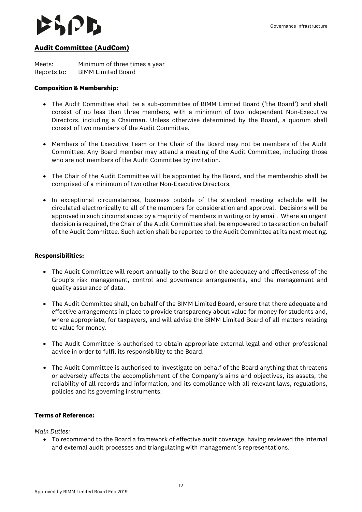### <span id="page-11-0"></span>**Audit Committee (AudCom)**

Meets: Minimum of three times a year Reports to: BIMM Limited Board

#### **Composition & Membership:**

- The Audit Committee shall be a sub-committee of BIMM Limited Board ('the Board') and shall consist of no less than three members, with a minimum of two independent Non-Executive Directors, including a Chairman. Unless otherwise determined by the Board, a quorum shall consist of two members of the Audit Committee.
- Members of the Executive Team or the Chair of the Board may not be members of the Audit Committee. Any Board member may attend a meeting of the Audit Committee, including those who are not members of the Audit Committee by invitation.
- The Chair of the Audit Committee will be appointed by the Board, and the membership shall be comprised of a minimum of two other Non-Executive Directors.
- In exceptional circumstances, business outside of the standard meeting schedule will be circulated electronically to all of the members for consideration and approval. Decisions will be approved in such circumstances by a majority of members in writing or by email. Where an urgent decision is required, the Chair of the Audit Committee shall be empowered to take action on behalf of the Audit Committee. Such action shall be reported to the Audit Committee at its next meeting.

#### **Responsibilities:**

- The Audit Committee will report annually to the Board on the adequacy and effectiveness of the Group's risk management, control and governance arrangements, and the management and quality assurance of data.
- The Audit Committee shall, on behalf of the BIMM Limited Board, ensure that there adequate and effective arrangements in place to provide transparency about value for money for students and, where appropriate, for taxpayers, and will advise the BIMM Limited Board of all matters relating to value for money.
- The Audit Committee is authorised to obtain appropriate external legal and other professional advice in order to fulfil its responsibility to the Board.
- The Audit Committee is authorised to investigate on behalf of the Board anything that threatens or adversely affects the accomplishment of the Company's aims and objectives, its assets, the reliability of all records and information, and its compliance with all relevant laws, regulations, policies and its governing instruments.

#### **Terms of Reference:**

*Main Duties:* 

• To recommend to the Board a framework of effective audit coverage, having reviewed the internal and external audit processes and triangulating with management's representations.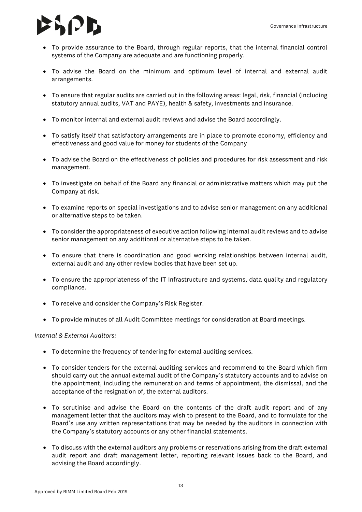# $|J|$

- To provide assurance to the Board, through regular reports, that the internal financial control systems of the Company are adequate and are functioning properly.
- To advise the Board on the minimum and optimum level of internal and external audit arrangements.
- To ensure that regular audits are carried out in the following areas: legal, risk, financial (including statutory annual audits, VAT and PAYE), health & safety, investments and insurance.
- To monitor internal and external audit reviews and advise the Board accordingly.
- To satisfy itself that satisfactory arrangements are in place to promote economy, efficiency and effectiveness and good value for money for students of the Company
- To advise the Board on the effectiveness of policies and procedures for risk assessment and risk management.
- To investigate on behalf of the Board any financial or administrative matters which may put the Company at risk.
- To examine reports on special investigations and to advise senior management on any additional or alternative steps to be taken.
- To consider the appropriateness of executive action following internal audit reviews and to advise senior management on any additional or alternative steps to be taken.
- To ensure that there is coordination and good working relationships between internal audit, external audit and any other review bodies that have been set up.
- To ensure the appropriateness of the IT Infrastructure and systems, data quality and regulatory compliance.
- To receive and consider the Company's Risk Register.
- To provide minutes of all Audit Committee meetings for consideration at Board meetings.

#### *Internal & External Auditors:*

- To determine the frequency of tendering for external auditing services.
- To consider tenders for the external auditing services and recommend to the Board which firm should carry out the annual external audit of the Company's statutory accounts and to advise on the appointment, including the remuneration and terms of appointment, the dismissal, and the acceptance of the resignation of, the external auditors.
- To scrutinise and advise the Board on the contents of the draft audit report and of any management letter that the auditors may wish to present to the Board, and to formulate for the Board's use any written representations that may be needed by the auditors in connection with the Company's statutory accounts or any other financial statements.
- To discuss with the external auditors any problems or reservations arising from the draft external audit report and draft management letter, reporting relevant issues back to the Board, and advising the Board accordingly.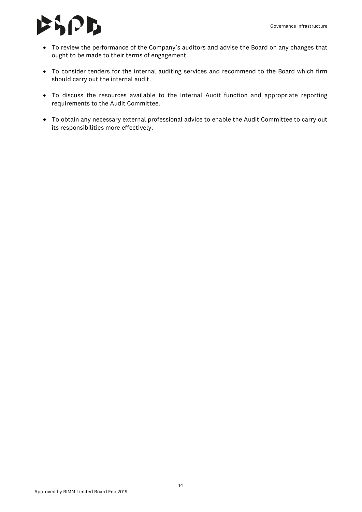### $\mathcal{B}$

- To review the performance of the Company's auditors and advise the Board on any changes that ought to be made to their terms of engagement.
- To consider tenders for the internal auditing services and recommend to the Board which firm should carry out the internal audit.
- To discuss the resources available to the Internal Audit function and appropriate reporting requirements to the Audit Committee.
- To obtain any necessary external professional advice to enable the Audit Committee to carry out its responsibilities more effectively.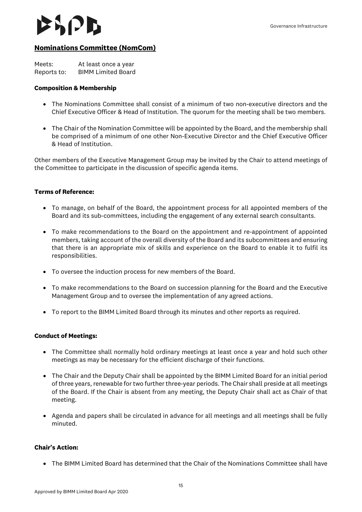#### <span id="page-14-0"></span>**Nominations Committee (NomCom)**

| Meets:      | At least once a year      |
|-------------|---------------------------|
| Reports to: | <b>BIMM Limited Board</b> |

#### **Composition & Membership**

- The Nominations Committee shall consist of a minimum of two non-executive directors and the Chief Executive Officer & Head of Institution. The quorum for the meeting shall be two members.
- The Chair of the Nomination Committee will be appointed by the Board, and the membership shall be comprised of a minimum of one other Non-Executive Director and the Chief Executive Officer & Head of Institution.

Other members of the Executive Management Group may be invited by the Chair to attend meetings of the Committee to participate in the discussion of specific agenda items.

#### **Terms of Reference:**

- To manage, on behalf of the Board, the appointment process for all appointed members of the Board and its sub-committees, including the engagement of any external search consultants.
- To make recommendations to the Board on the appointment and re-appointment of appointed members, taking account of the overall diversity of the Board and its subcommittees and ensuring that there is an appropriate mix of skills and experience on the Board to enable it to fulfil its responsibilities.
- To oversee the induction process for new members of the Board.
- To make recommendations to the Board on succession planning for the Board and the Executive Management Group and to oversee the implementation of any agreed actions.
- To report to the BIMM Limited Board through its minutes and other reports as required.

#### **Conduct of Meetings:**

- The Committee shall normally hold ordinary meetings at least once a year and hold such other meetings as may be necessary for the efficient discharge of their functions.
- The Chair and the Deputy Chair shall be appointed by the BIMM Limited Board for an initial period of three years, renewable for two further three-year periods. The Chair shall preside at all meetings of the Board. If the Chair is absent from any meeting, the Deputy Chair shall act as Chair of that meeting.
- Agenda and papers shall be circulated in advance for all meetings and all meetings shall be fully minuted.

#### **Chair's Action:**

• The BIMM Limited Board has determined that the Chair of the Nominations Committee shall have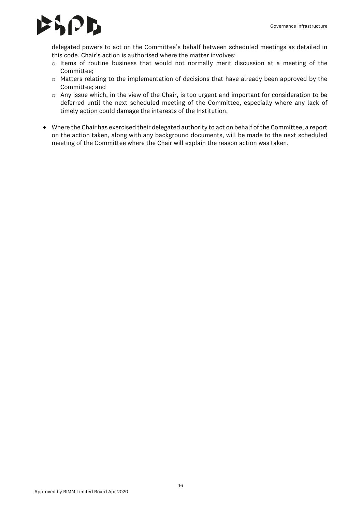### $\mathbf{E}$

delegated powers to act on the Committee's behalf between scheduled meetings as detailed in this code. Chair's action is authorised where the matter involves:

- o Items of routine business that would not normally merit discussion at a meeting of the Committee;
- o Matters relating to the implementation of decisions that have already been approved by the Committee; and
- $\circ$  Any issue which, in the view of the Chair, is too urgent and important for consideration to be deferred until the next scheduled meeting of the Committee, especially where any lack of timely action could damage the interests of the Institution.
- Where the Chair has exercised their delegated authority to act on behalf of the Committee, a report on the action taken, along with any background documents, will be made to the next scheduled meeting of the Committee where the Chair will explain the reason action was taken.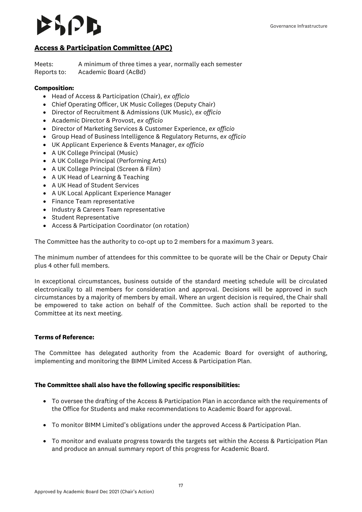## $|P|$

### <span id="page-16-0"></span>**Access & Participation Committee (APC)**

Meets: A minimum of three times a year, normally each semester Reports to: Academic Board (AcBd)

#### **Composition:**

- Head of Access & Participation (Chair), *ex officio*
- Chief Operating Officer, UK Music Colleges (Deputy Chair)
- Director of Recruitment & Admissions (UK Music), *ex officio*
- Academic Director & Provost, *ex officio*
- Director of Marketing Services & Customer Experience, *ex officio*
- Group Head of Business Intelligence & Regulatory Returns, *ex officio*
- UK Applicant Experience & Events Manager, *ex officio*
- A UK College Principal (Music)
- A UK College Principal (Performing Arts)
- A UK College Principal (Screen & Film)
- A UK Head of Learning & Teaching
- A UK Head of Student Services
- A UK Local Applicant Experience Manager
- Finance Team representative
- Industry & Careers Team representative
- Student Representative
- Access & Participation Coordinator (on rotation)

The Committee has the authority to co-opt up to 2 members for a maximum 3 years.

The minimum number of attendees for this committee to be quorate will be the Chair or Deputy Chair plus 4 other full members.

In exceptional circumstances, business outside of the standard meeting schedule will be circulated electronically to all members for consideration and approval. Decisions will be approved in such circumstances by a majority of members by email. Where an urgent decision is required, the Chair shall be empowered to take action on behalf of the Committee. Such action shall be reported to the Committee at its next meeting.

#### **Terms of Reference:**

The Committee has delegated authority from the Academic Board for oversight of authoring, implementing and monitoring the BIMM Limited Access & Participation Plan.

#### **The Committee shall also have the following specific responsibilities:**

- To oversee the drafting of the Access & Participation Plan in accordance with the requirements of the Office for Students and make recommendations to Academic Board for approval.
- To monitor BIMM Limited's obligations under the approved Access & Participation Plan.
- To monitor and evaluate progress towards the targets set within the Access & Participation Plan and produce an annual summary report of this progress for Academic Board.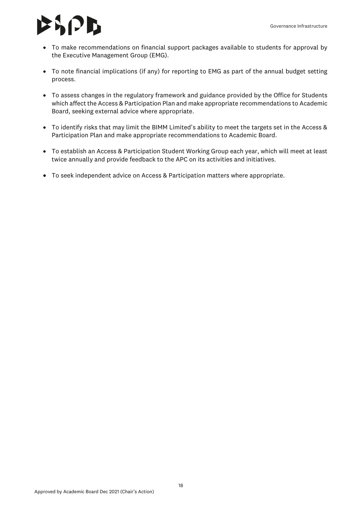## $\mathcal{L}$   $\mathcal{L}$

- To make recommendations on financial support packages available to students for approval by the Executive Management Group (EMG).
- To note financial implications (if any) for reporting to EMG as part of the annual budget setting process.
- To assess changes in the regulatory framework and guidance provided by the Office for Students which affect the Access & Participation Plan and make appropriate recommendations to Academic Board, seeking external advice where appropriate.
- To identify risks that may limit the BIMM Limited's ability to meet the targets set in the Access & Participation Plan and make appropriate recommendations to Academic Board.
- To establish an Access & Participation Student Working Group each year, which will meet at least twice annually and provide feedback to the APC on its activities and initiatives.
- To seek independent advice on Access & Participation matters where appropriate.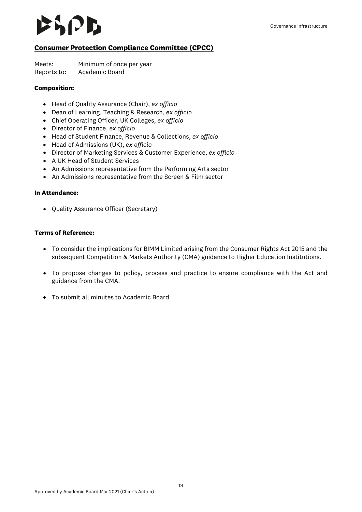### $\mathcal{L}$   $\mathcal{L}$

### <span id="page-18-0"></span>**Consumer Protection Compliance Committee (CPCC)**

Meets: Minimum of once per year Reports to: Academic Board

#### **Composition:**

- Head of Quality Assurance (Chair), *ex officio*
- Dean of Learning, Teaching & Research, *ex officio*
- Chief Operating Officer, UK Colleges, *ex officio*
- Director of Finance, *ex officio*
- Head of Student Finance, Revenue & Collections, *ex officio*
- Head of Admissions (UK), *ex officio*
- Director of Marketing Services & Customer Experience, *ex officio*
- A UK Head of Student Services
- An Admissions representative from the Performing Arts sector
- An Admissions representative from the Screen & Film sector

#### **In Attendance:**

• Quality Assurance Officer (Secretary)

#### **Terms of Reference:**

- To consider the implications for BIMM Limited arising from the Consumer Rights Act 2015 and the subsequent Competition & Markets Authority (CMA) guidance to Higher Education Institutions.
- To propose changes to policy, process and practice to ensure compliance with the Act and guidance from the CMA.
- To submit all minutes to Academic Board.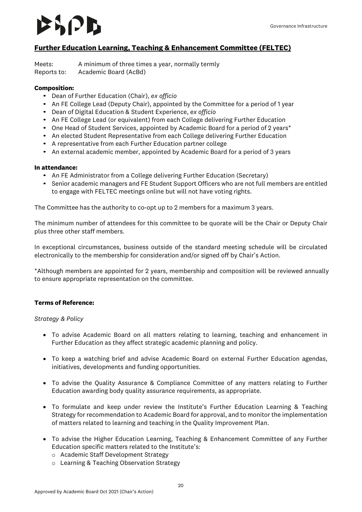### $\mathbf{L}$

#### <span id="page-19-0"></span>**Further Education Learning, Teaching & Enhancement Committee (FELTEC)**

Meets: A minimum of three times a year, normally termly Reports to: Academic Board (AcBd)

#### **Composition:**

- Dean of Further Education (Chair), *ex officio*
- An FE College Lead (Deputy Chair), appointed by the Committee for a period of 1 year
- Dean of Digital Education & Student Experience, *ex officio*
- An FE College Lead (or equivalent) from each College delivering Further Education
- One Head of Student Services, appointed by Academic Board for a period of 2 years\*
- An elected Student Representative from each College delivering Further Education
- A representative from each Further Education partner college
- An external academic member, appointed by Academic Board for a period of 3 years

#### **In attendance:**

- An FE Administrator from a College delivering Further Education (Secretary)
- Senior academic managers and FE Student Support Officers who are not full members are entitled to engage with FELTEC meetings online but will not have voting rights.

The Committee has the authority to co-opt up to 2 members for a maximum 3 years.

The minimum number of attendees for this committee to be quorate will be the Chair or Deputy Chair plus three other staff members.

In exceptional circumstances, business outside of the standard meeting schedule will be circulated electronically to the membership for consideration and/or signed off by Chair's Action.

\*Although members are appointed for 2 years, membership and composition will be reviewed annually to ensure appropriate representation on the committee.

#### **Terms of Reference:**

#### *Strategy & Policy*

- To advise Academic Board on all matters relating to learning, teaching and enhancement in Further Education as they affect strategic academic planning and policy.
- To keep a watching brief and advise Academic Board on external Further Education agendas, initiatives, developments and funding opportunities.
- To advise the Quality Assurance & Compliance Committee of any matters relating to Further Education awarding body quality assurance requirements, as appropriate.
- To formulate and keep under review the Institute's Further Education Learning & Teaching Strategy for recommendation to Academic Board for approval, and to monitor the implementation of matters related to learning and teaching in the Quality Improvement Plan.
- To advise the Higher Education Learning, Teaching & Enhancement Committee of any Further Education specific matters related to the Institute's:
	- o Academic Staff Development Strategy
	- o Learning & Teaching Observation Strategy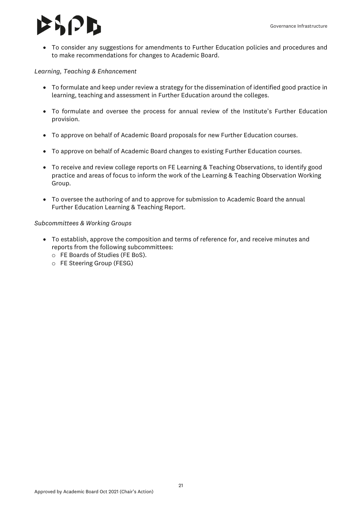### ЮB

• To consider any suggestions for amendments to Further Education policies and procedures and to make recommendations for changes to Academic Board.

#### *Learning, Teaching & Enhancement*

- To formulate and keep under review a strategy for the dissemination of identified good practice in learning, teaching and assessment in Further Education around the colleges.
- To formulate and oversee the process for annual review of the Institute's Further Education provision.
- To approve on behalf of Academic Board proposals for new Further Education courses.
- To approve on behalf of Academic Board changes to existing Further Education courses.
- To receive and review college reports on FE Learning & Teaching Observations, to identify good practice and areas of focus to inform the work of the Learning & Teaching Observation Working Group.
- To oversee the authoring of and to approve for submission to Academic Board the annual Further Education Learning & Teaching Report.

#### *Subcommittees & Working Groups*

- To establish, approve the composition and terms of reference for, and receive minutes and reports from the following subcommittees:
	- o FE Boards of Studies (FE BoS).
	- o FE Steering Group (FESG)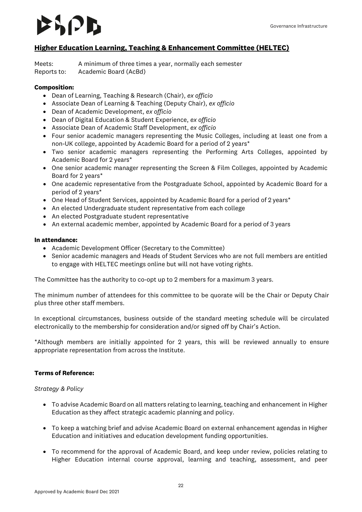#### <span id="page-21-0"></span>**Higher Education Learning, Teaching & Enhancement Committee (HELTEC)**

Meets: A minimum of three times a year, normally each semester Reports to: Academic Board (AcBd)

#### **Composition:**

- Dean of Learning, Teaching & Research (Chair), *ex officio*
- Associate Dean of Learning & Teaching (Deputy Chair), *ex officio*
- Dean of Academic Development, *ex officio*
- Dean of Digital Education & Student Experience, *ex officio*
- Associate Dean of Academic Staff Development, *ex officio*
- Four senior academic managers representing the Music Colleges, including at least one from a non-UK college, appointed by Academic Board for a period of 2 years\*
- Two senior academic managers representing the Performing Arts Colleges, appointed by Academic Board for 2 years\*
- One senior academic manager representing the Screen & Film Colleges, appointed by Academic Board for 2 years\*
- One academic representative from the Postgraduate School, appointed by Academic Board for a period of 2 years\*
- One Head of Student Services, appointed by Academic Board for a period of 2 years\*
- An elected Undergraduate student representative from each college
- An elected Postgraduate student representative
- An external academic member, appointed by Academic Board for a period of 3 years

#### **In attendance:**

- Academic Development Officer (Secretary to the Committee)
- Senior academic managers and Heads of Student Services who are not full members are entitled to engage with HELTEC meetings online but will not have voting rights.

The Committee has the authority to co-opt up to 2 members for a maximum 3 years.

The minimum number of attendees for this committee to be quorate will be the Chair or Deputy Chair plus three other staff members.

In exceptional circumstances, business outside of the standard meeting schedule will be circulated electronically to the membership for consideration and/or signed off by Chair's Action.

\*Although members are initially appointed for 2 years, this will be reviewed annually to ensure appropriate representation from across the Institute.

#### **Terms of Reference:**

#### *Strategy & Policy*

- To advise Academic Board on all matters relating to learning, teaching and enhancement in Higher Education as they affect strategic academic planning and policy.
- To keep a watching brief and advise Academic Board on external enhancement agendas in Higher Education and initiatives and education development funding opportunities.
- To recommend for the approval of Academic Board, and keep under review, policies relating to Higher Education internal course approval, learning and teaching, assessment, and peer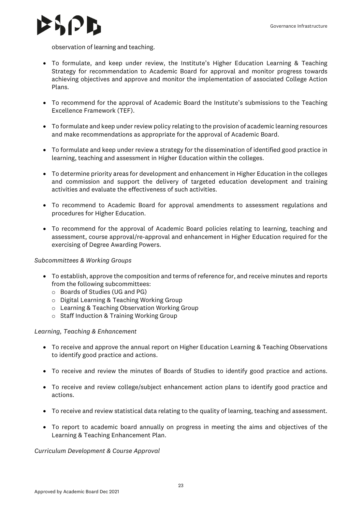

observation of learning and teaching.

- To formulate, and keep under review, the Institute's Higher Education Learning & Teaching Strategy for recommendation to Academic Board for approval and monitor progress towards achieving objectives and approve and monitor the implementation of associated College Action Plans.
- To recommend for the approval of Academic Board the Institute's submissions to the Teaching Excellence Framework (TEF).
- To formulate and keep under review policy relating to the provision of academic learning resources and make recommendations as appropriate for the approval of Academic Board.
- To formulate and keep under review a strategy for the dissemination of identified good practice in learning, teaching and assessment in Higher Education within the colleges.
- To determine priority areas for development and enhancement in Higher Education in the colleges and commission and support the delivery of targeted education development and training activities and evaluate the effectiveness of such activities.
- To recommend to Academic Board for approval amendments to assessment regulations and procedures for Higher Education.
- To recommend for the approval of Academic Board policies relating to learning, teaching and assessment, course approval/re-approval and enhancement in Higher Education required for the exercising of Degree Awarding Powers.

#### *Subcommittees & Working Groups*

- To establish, approve the composition and terms of reference for, and receive minutes and reports from the following subcommittees:
	- o Boards of Studies (UG and PG)
	- o Digital Learning & Teaching Working Group
	- o Learning & Teaching Observation Working Group
	- o Staff Induction & Training Working Group

#### *Learning, Teaching & Enhancement*

- To receive and approve the annual report on Higher Education Learning & Teaching Observations to identify good practice and actions.
- To receive and review the minutes of Boards of Studies to identify good practice and actions.
- To receive and review college/subject enhancement action plans to identify good practice and actions.
- To receive and review statistical data relating to the quality of learning, teaching and assessment.
- To report to academic board annually on progress in meeting the aims and objectives of the Learning & Teaching Enhancement Plan.

#### *Curriculum Development & Course Approval*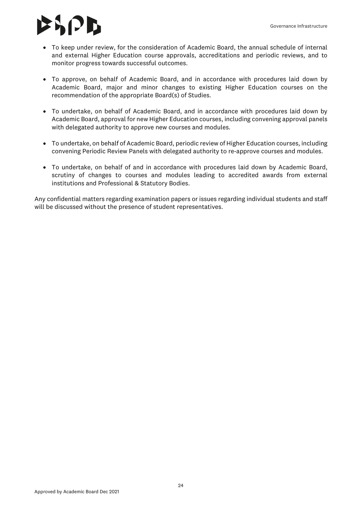# $\mathbf{S}$  $\mathbf{D}$

- To keep under review, for the consideration of Academic Board, the annual schedule of internal and external Higher Education course approvals, accreditations and periodic reviews, and to monitor progress towards successful outcomes.
- To approve, on behalf of Academic Board, and in accordance with procedures laid down by Academic Board, major and minor changes to existing Higher Education courses on the recommendation of the appropriate Board(s) of Studies.
- To undertake, on behalf of Academic Board, and in accordance with procedures laid down by Academic Board, approval for new Higher Education courses, including convening approval panels with delegated authority to approve new courses and modules.
- To undertake, on behalf of Academic Board, periodic review of Higher Education courses, including convening Periodic Review Panels with delegated authority to re-approve courses and modules.
- To undertake, on behalf of and in accordance with procedures laid down by Academic Board, scrutiny of changes to courses and modules leading to accredited awards from external institutions and Professional & Statutory Bodies.

Any confidential matters regarding examination papers or issues regarding individual students and staff will be discussed without the presence of student representatives.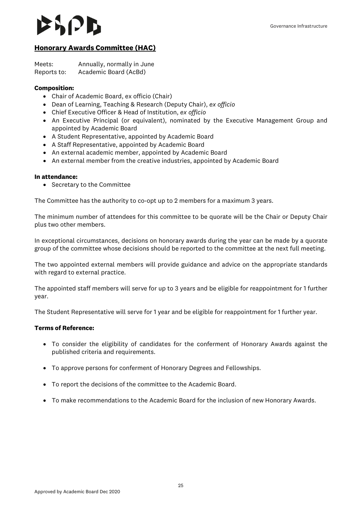### <span id="page-24-0"></span>**Honorary Awards Committee (HAC)**

Meets: Annually, normally in June Reports to: Academic Board (AcBd)

#### **Composition:**

- Chair of Academic Board, ex officio (Chair)
- Dean of Learning, Teaching & Research (Deputy Chair), *ex officio*
- Chief Executive Officer & Head of Institution, *ex officio*
- An Executive Principal (or equivalent), nominated by the Executive Management Group and appointed by Academic Board
- A Student Representative, appointed by Academic Board
- A Staff Representative, appointed by Academic Board
- An external academic member, appointed by Academic Board
- An external member from the creative industries, appointed by Academic Board

#### **In attendance:**

• Secretary to the Committee

The Committee has the authority to co-opt up to 2 members for a maximum 3 years.

The minimum number of attendees for this committee to be quorate will be the Chair or Deputy Chair plus two other members.

In exceptional circumstances, decisions on honorary awards during the year can be made by a quorate group of the committee whose decisions should be reported to the committee at the next full meeting.

The two appointed external members will provide guidance and advice on the appropriate standards with regard to external practice.

The appointed staff members will serve for up to 3 years and be eligible for reappointment for 1 further year.

The Student Representative will serve for 1 year and be eligible for reappointment for 1 further year.

#### **Terms of Reference:**

- To consider the eligibility of candidates for the conferment of Honorary Awards against the published criteria and requirements.
- To approve persons for conferment of Honorary Degrees and Fellowships.
- To report the decisions of the committee to the Academic Board.
- To make recommendations to the Academic Board for the inclusion of new Honorary Awards.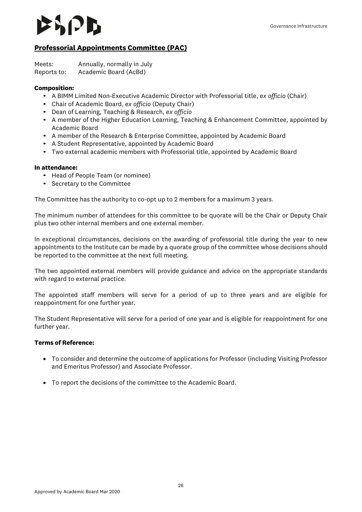### $|V|$

### <span id="page-25-0"></span>**Professorial Appointments Committee (PAC)**

Meets: Annually, normally in July Reports to: Academic Board (AcBd)

#### **Composition:**

- A BIMM Limited Non-Executive Academic Director with Professorial title, *ex officio* (Chair)
- Chair of Academic Board, *ex officio* (Deputy Chair)
- Dean of Learning, Teaching & Research, *ex officio*
- A member of the Higher Education Learning, Teaching & Enhancement Committee, appointed by Academic Board
- A member of the Research & Enterprise Committee, appointed by Academic Board
- A Student Representative, appointed by Academic Board
- Two external academic members with Professorial title, appointed by Academic Board

#### **In attendance:**

- Head of People Team (or nominee)
- Secretary to the Committee

The Committee has the authority to co-opt up to 2 members for a maximum 3 years.

The minimum number of attendees for this committee to be quorate will be the Chair or Deputy Chair plus two other internal members and one external member.

In exceptional circumstances, decisions on the awarding of professorial title during the year to new appointments to the Institute can be made by a quorate group of the committee whose decisions should be reported to the committee at the next full meeting.

The two appointed external members will provide guidance and advice on the appropriate standards with regard to external practice.

The appointed staff members will serve for a period of up to three years and are eligible for reappointment for one further year.

The Student Representative will serve for a period of one year and is eligible for reappointment for one further year.

#### **Terms of Reference:**

- To consider and determine the outcome of applications for Professor (including Visiting Professor and Emeritus Professor) and Associate Professor.
- To report the decisions of the committee to the Academic Board.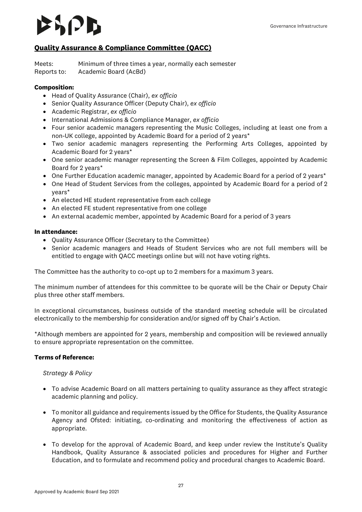### **IPD**

#### <span id="page-26-0"></span>**Quality Assurance & Compliance Committee (QACC)**

Meets: Minimum of three times a year, normally each semester Reports to: Academic Board (AcBd)

#### **Composition:**

- Head of Quality Assurance (Chair), *ex officio*
- Senior Quality Assurance Officer (Deputy Chair), *ex officio*
- Academic Registrar, *ex officio*
- International Admissions & Compliance Manager, *ex officio*
- Four senior academic managers representing the Music Colleges, including at least one from a non-UK college, appointed by Academic Board for a period of 2 years\*
- Two senior academic managers representing the Performing Arts Colleges, appointed by Academic Board for 2 years\*
- One senior academic manager representing the Screen & Film Colleges, appointed by Academic Board for 2 years\*
- One Further Education academic manager, appointed by Academic Board for a period of 2 years\*
- One Head of Student Services from the colleges, appointed by Academic Board for a period of 2 years\*
- An elected HE student representative from each college
- An elected FE student representative from one college
- An external academic member, appointed by Academic Board for a period of 3 years

#### **In attendance:**

- Quality Assurance Officer (Secretary to the Committee)
- Senior academic managers and Heads of Student Services who are not full members will be entitled to engage with QACC meetings online but will not have voting rights.

The Committee has the authority to co-opt up to 2 members for a maximum 3 years.

The minimum number of attendees for this committee to be quorate will be the Chair or Deputy Chair plus three other staff members.

In exceptional circumstances, business outside of the standard meeting schedule will be circulated electronically to the membership for consideration and/or signed off by Chair's Action.

\*Although members are appointed for 2 years, membership and composition will be reviewed annually to ensure appropriate representation on the committee.

#### **Terms of Reference:**

#### *Strategy & Policy*

- To advise Academic Board on all matters pertaining to quality assurance as they affect strategic academic planning and policy.
- To monitor all guidance and requirements issued by the Office for Students, the Quality Assurance Agency and Ofsted: initiating, co-ordinating and monitoring the effectiveness of action as appropriate.
- To develop for the approval of Academic Board, and keep under review the Institute's Quality Handbook, Quality Assurance & associated policies and procedures for Higher and Further Education, and to formulate and recommend policy and procedural changes to Academic Board.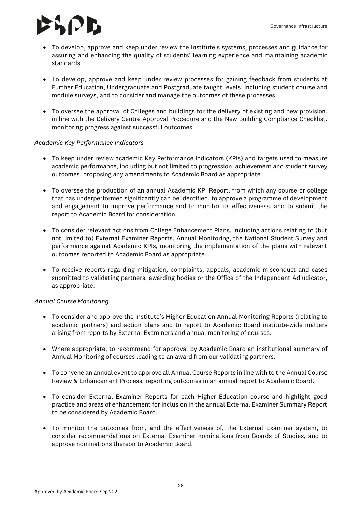- To develop, approve and keep under review the Institute's systems, processes and guidance for assuring and enhancing the quality of students' learning experience and maintaining academic standards.
- To develop, approve and keep under review processes for gaining feedback from students at Further Education, Undergraduate and Postgraduate taught levels, including student course and module surveys, and to consider and manage the outcomes of these processes.
- To oversee the approval of Colleges and buildings for the delivery of existing and new provision, in line with the Delivery Centre Approval Procedure and the New Building Compliance Checklist, monitoring progress against successful outcomes.

#### *Academic Key Performance Indicators*

- To keep under review academic Key Performance Indicators (KPIs) and targets used to measure academic performance, including but not limited to progression, achievement and student survey outcomes, proposing any amendments to Academic Board as appropriate.
- To oversee the production of an annual Academic KPI Report, from which any course or college that has underperformed significantly can be identified, to approve a programme of development and engagement to improve performance and to monitor its effectiveness, and to submit the report to Academic Board for consideration.
- To consider relevant actions from College Enhancement Plans, including actions relating to (but not limited to) External Examiner Reports, Annual Monitoring, the National Student Survey and performance against Academic KPIs, monitoring the implementation of the plans with relevant outcomes reported to Academic Board as appropriate.
- To receive reports regarding mitigation, complaints, appeals, academic misconduct and cases submitted to validating partners, awarding bodies or the Office of the Independent Adjudicator, as appropriate.

#### *Annual Course Monitoring*

- To consider and approve the Institute's Higher Education Annual Monitoring Reports (relating to academic partners) and action plans and to report to Academic Board institute-wide matters arising from reports by External Examiners and annual monitoring of courses.
- Where appropriate, to recommend for approval by Academic Board an institutional summary of Annual Monitoring of courses leading to an award from our validating partners.
- To convene an annual event to approve all Annual Course Reports in line with to the Annual Course Review & Enhancement Process, reporting outcomes in an annual report to Academic Board.
- To consider External Examiner Reports for each Higher Education course and highlight good practice and areas of enhancement for inclusion in the annual External Examiner Summary Report to be considered by Academic Board.
- To monitor the outcomes from, and the effectiveness of, the External Examiner system, to consider recommendations on External Examiner nominations from Boards of Studies, and to approve nominations thereon to Academic Board.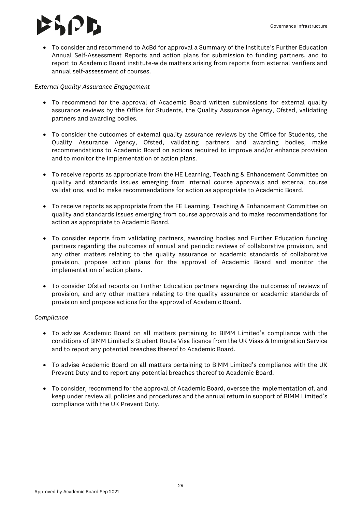### $|J|$

• To consider and recommend to AcBd for approval a Summary of the Institute's Further Education Annual Self-Assessment Reports and action plans for submission to funding partners, and to report to Academic Board institute-wide matters arising from reports from external verifiers and annual self-assessment of courses.

#### *External Quality Assurance Engagement*

- To recommend for the approval of Academic Board written submissions for external quality assurance reviews by the Office for Students, the Quality Assurance Agency, Ofsted, validating partners and awarding bodies.
- To consider the outcomes of external quality assurance reviews by the Office for Students, the Quality Assurance Agency, Ofsted, validating partners and awarding bodies, make recommendations to Academic Board on actions required to improve and/or enhance provision and to monitor the implementation of action plans.
- To receive reports as appropriate from the HE Learning, Teaching & Enhancement Committee on quality and standards issues emerging from internal course approvals and external course validations, and to make recommendations for action as appropriate to Academic Board.
- To receive reports as appropriate from the FE Learning, Teaching & Enhancement Committee on quality and standards issues emerging from course approvals and to make recommendations for action as appropriate to Academic Board.
- To consider reports from validating partners, awarding bodies and Further Education funding partners regarding the outcomes of annual and periodic reviews of collaborative provision, and any other matters relating to the quality assurance or academic standards of collaborative provision, propose action plans for the approval of Academic Board and monitor the implementation of action plans.
- To consider Ofsted reports on Further Education partners regarding the outcomes of reviews of provision, and any other matters relating to the quality assurance or academic standards of provision and propose actions for the approval of Academic Board.

#### *Compliance*

- To advise Academic Board on all matters pertaining to BIMM Limited's compliance with the conditions of BIMM Limited's Student Route Visa licence from the UK Visas & Immigration Service and to report any potential breaches thereof to Academic Board.
- To advise Academic Board on all matters pertaining to BIMM Limited's compliance with the UK Prevent Duty and to report any potential breaches thereof to Academic Board.
- To consider, recommend for the approval of Academic Board, oversee the implementation of, and keep under review all policies and procedures and the annual return in support of BIMM Limited's compliance with the UK Prevent Duty.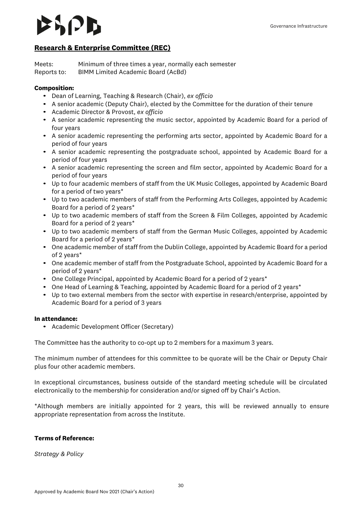### $\vert$   $\vert$   $\vert$

#### <span id="page-29-0"></span>**Research & Enterprise Committee (REC)**

Meets: Minimum of three times a year, normally each semester Reports to: BIMM Limited Academic Board (AcBd)

#### **Composition:**

- Dean of Learning, Teaching & Research (Chair), *ex officio*
- A senior academic (Deputy Chair), elected by the Committee for the duration of their tenure
- Academic Director & Provost, *ex officio*
- A senior academic representing the music sector, appointed by Academic Board for a period of four years
- A senior academic representing the performing arts sector, appointed by Academic Board for a period of four years
- A senior academic representing the postgraduate school, appointed by Academic Board for a period of four years
- A senior academic representing the screen and film sector, appointed by Academic Board for a period of four years
- Up to four academic members of staff from the UK Music Colleges, appointed by Academic Board for a period of two years\*
- Up to two academic members of staff from the Performing Arts Colleges, appointed by Academic Board for a period of 2 years\*
- Up to two academic members of staff from the Screen & Film Colleges, appointed by Academic Board for a period of 2 years\*
- Up to two academic members of staff from the German Music Colleges, appointed by Academic Board for a period of 2 years\*
- One academic member of staff from the Dublin College, appointed by Academic Board for a period of 2 years\*
- One academic member of staff from the Postgraduate School, appointed by Academic Board for a period of 2 years\*
- One College Principal, appointed by Academic Board for a period of 2 years\*
- One Head of Learning & Teaching, appointed by Academic Board for a period of 2 years\*
- Up to two external members from the sector with expertise in research/enterprise, appointed by Academic Board for a period of 3 years

#### **In attendance:**

• Academic Development Officer (Secretary)

The Committee has the authority to co-opt up to 2 members for a maximum 3 years.

The minimum number of attendees for this committee to be quorate will be the Chair or Deputy Chair plus four other academic members.

In exceptional circumstances, business outside of the standard meeting schedule will be circulated electronically to the membership for consideration and/or signed off by Chair's Action.

\*Although members are initially appointed for 2 years, this will be reviewed annually to ensure appropriate representation from across the Institute.

#### **Terms of Reference:**

*Strategy & Policy*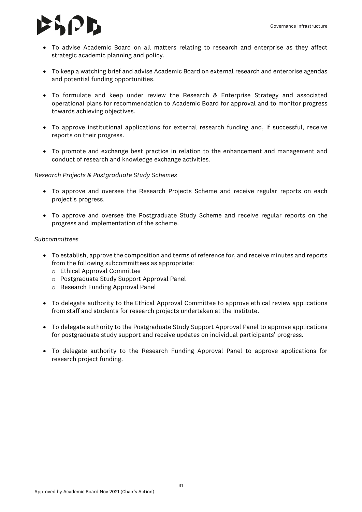- To advise Academic Board on all matters relating to research and enterprise as they affect strategic academic planning and policy.
- To keep a watching brief and advise Academic Board on external research and enterprise agendas and potential funding opportunities.
- To formulate and keep under review the Research & Enterprise Strategy and associated operational plans for recommendation to Academic Board for approval and to monitor progress towards achieving objectives.
- To approve institutional applications for external research funding and, if successful, receive reports on their progress.
- To promote and exchange best practice in relation to the enhancement and management and conduct of research and knowledge exchange activities.

#### *Research Projects & Postgraduate Study Schemes*

- To approve and oversee the Research Projects Scheme and receive regular reports on each project's progress.
- To approve and oversee the Postgraduate Study Scheme and receive regular reports on the progress and implementation of the scheme.

#### *Subcommittees*

- To establish, approve the composition and terms of reference for, and receive minutes and reports from the following subcommittees as appropriate:
	- o Ethical Approval Committee
	- o Postgraduate Study Support Approval Panel
	- o Research Funding Approval Panel
- To delegate authority to the Ethical Approval Committee to approve ethical review applications from staff and students for research projects undertaken at the Institute.
- To delegate authority to the Postgraduate Study Support Approval Panel to approve applications for postgraduate study support and receive updates on individual participants' progress.
- To delegate authority to the Research Funding Approval Panel to approve applications for research project funding.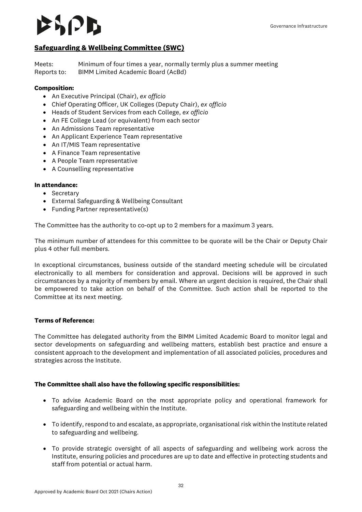#### <span id="page-31-0"></span>**Safeguarding & Wellbeing Committee (SWC)**

Meets: Minimum of four times a year, normally termly plus a summer meeting Reports to: BIMM Limited Academic Board (AcBd)

#### **Composition:**

- An Executive Principal (Chair), *ex officio*
- Chief Operating Officer, UK Colleges (Deputy Chair), *ex officio*
- Heads of Student Services from each College, *ex officio*
- An FE College Lead (or equivalent) from each sector
- An Admissions Team representative
- An Applicant Experience Team representative
- An IT/MIS Team representative
- A Finance Team representative
- A People Team representative
- A Counselling representative

#### **In attendance:**

- Secretary
- External Safeguarding & Wellbeing Consultant
- Funding Partner representative(s)

The Committee has the authority to co-opt up to 2 members for a maximum 3 years.

The minimum number of attendees for this committee to be quorate will be the Chair or Deputy Chair plus 4 other full members.

In exceptional circumstances, business outside of the standard meeting schedule will be circulated electronically to all members for consideration and approval. Decisions will be approved in such circumstances by a majority of members by email. Where an urgent decision is required, the Chair shall be empowered to take action on behalf of the Committee. Such action shall be reported to the Committee at its next meeting.

#### **Terms of Reference:**

The Committee has delegated authority from the BIMM Limited Academic Board to monitor legal and sector developments on safeguarding and wellbeing matters, establish best practice and ensure a consistent approach to the development and implementation of all associated policies, procedures and strategies across the Institute.

#### **The Committee shall also have the following specific responsibilities:**

- To advise Academic Board on the most appropriate policy and operational framework for safeguarding and wellbeing within the Institute.
- To identify, respond to and escalate, as appropriate, organisational risk within the Institute related to safeguarding and wellbeing.
- To provide strategic oversight of all aspects of safeguarding and wellbeing work across the Institute, ensuring policies and procedures are up to date and effective in protecting students and staff from potential or actual harm.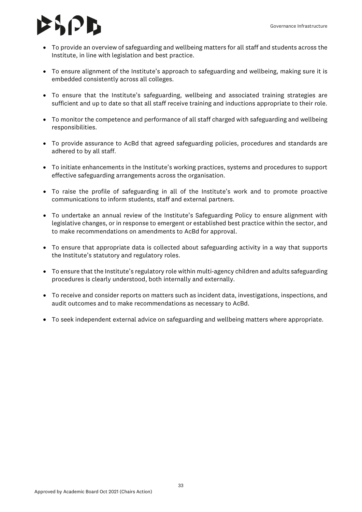## $|J|$

- To provide an overview of safeguarding and wellbeing matters for all staff and students across the Institute, in line with legislation and best practice.
- To ensure alignment of the Institute's approach to safeguarding and wellbeing, making sure it is embedded consistently across all colleges.
- To ensure that the Institute's safeguarding, wellbeing and associated training strategies are sufficient and up to date so that all staff receive training and inductions appropriate to their role.
- To monitor the competence and performance of all staff charged with safeguarding and wellbeing responsibilities.
- To provide assurance to AcBd that agreed safeguarding policies, procedures and standards are adhered to by all staff.
- To initiate enhancements in the Institute's working practices, systems and procedures to support effective safeguarding arrangements across the organisation.
- To raise the profile of safeguarding in all of the Institute's work and to promote proactive communications to inform students, staff and external partners.
- To undertake an annual review of the Institute's Safeguarding Policy to ensure alignment with legislative changes, or in response to emergent or established best practice within the sector, and to make recommendations on amendments to AcBd for approval.
- To ensure that appropriate data is collected about safeguarding activity in a way that supports the Institute's statutory and regulatory roles.
- To ensure that the Institute's regulatory role within multi-agency children and adults safeguarding procedures is clearly understood, both internally and externally.
- To receive and consider reports on matters such as incident data, investigations, inspections, and audit outcomes and to make recommendations as necessary to AcBd.
- To seek independent external advice on safeguarding and wellbeing matters where appropriate.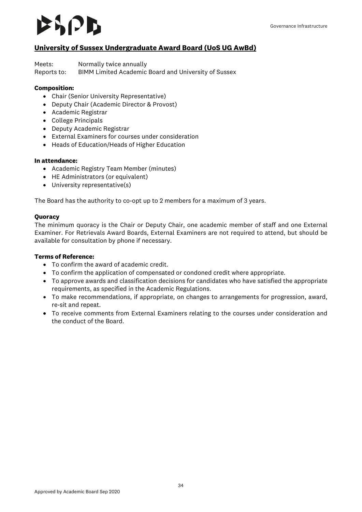### AI JI D

### <span id="page-33-0"></span>**University of Sussex Undergraduate Award Board (UoS UG AwBd)**

Meets: Normally twice annually

Reports to: BIMM Limited Academic Board and University of Sussex

#### **Composition:**

- Chair (Senior University Representative)
- Deputy Chair (Academic Director & Provost)
- Academic Registrar
- College Principals
- Deputy Academic Registrar
- External Examiners for courses under consideration
- Heads of Education/Heads of Higher Education

#### **In attendance:**

- Academic Registry Team Member (minutes)
- HE Administrators (or equivalent)
- University representative(s)

The Board has the authority to co-opt up to 2 members for a maximum of 3 years.

#### **Quoracy**

The minimum quoracy is the Chair or Deputy Chair, one academic member of staff and one External Examiner. For Retrievals Award Boards, External Examiners are not required to attend, but should be available for consultation by phone if necessary.

#### **Terms of Reference:**

- To confirm the award of academic credit.
- To confirm the application of compensated or condoned credit where appropriate.
- To approve awards and classification decisions for candidates who have satisfied the appropriate requirements, as specified in the Academic Regulations.
- To make recommendations, if appropriate, on changes to arrangements for progression, award, re-sit and repeat.
- To receive comments from External Examiners relating to the courses under consideration and the conduct of the Board.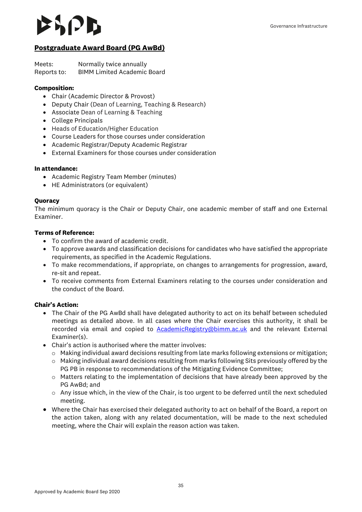### $|J|$

#### <span id="page-34-0"></span>**Postgraduate Award Board (PG AwBd)**

Meets: Normally twice annually Reports to: BIMM Limited Academic Board

#### **Composition:**

- Chair (Academic Director & Provost)
- Deputy Chair (Dean of Learning, Teaching & Research)
- Associate Dean of Learning & Teaching
- College Principals
- Heads of Education/Higher Education
- Course Leaders for those courses under consideration
- Academic Registrar/Deputy Academic Registrar
- External Examiners for those courses under consideration

#### **In attendance:**

- Academic Registry Team Member (minutes)
- HE Administrators (or equivalent)

#### **Quoracy**

The minimum quoracy is the Chair or Deputy Chair, one academic member of staff and one External Examiner.

#### **Terms of Reference:**

- To confirm the award of academic credit.
- To approve awards and classification decisions for candidates who have satisfied the appropriate requirements, as specified in the Academic Regulations.
- To make recommendations, if appropriate, on changes to arrangements for progression, award, re-sit and repeat.
- To receive comments from External Examiners relating to the courses under consideration and the conduct of the Board.

- The Chair of the PG AwBd shall have delegated authority to act on its behalf between scheduled meetings as detailed above. In all cases where the Chair exercises this authority, it shall be recorded via email and copied to **AcademicRegistry@bimm.ac.uk** and the relevant External Examiner(s).
- Chair's action is authorised where the matter involves:
	- o Making individual award decisions resulting from late marks following extensions or mitigation;
	- $\circ$  Making individual award decisions resulting from marks following Sits previously offered by the PG PB in response to recommendations of the Mitigating Evidence Committee;
	- $\circ$  Matters relating to the implementation of decisions that have already been approved by the PG AwBd; and
	- $\circ$  Any issue which, in the view of the Chair, is too urgent to be deferred until the next scheduled meeting.
- Where the Chair has exercised their delegated authority to act on behalf of the Board, a report on the action taken, along with any related documentation, will be made to the next scheduled meeting, where the Chair will explain the reason action was taken.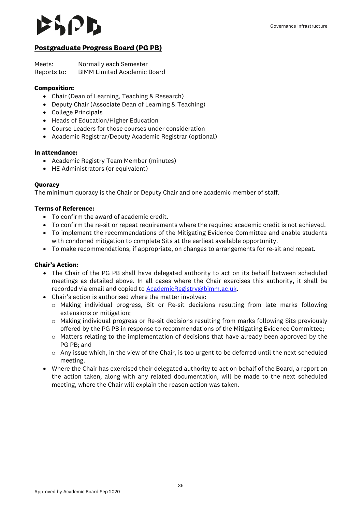#### <span id="page-35-0"></span>**Postgraduate Progress Board (PG PB)**

Meets: Normally each Semester Reports to: BIMM Limited Academic Board

#### **Composition:**

- Chair (Dean of Learning, Teaching & Research)
- Deputy Chair (Associate Dean of Learning & Teaching)
- College Principals
- Heads of Education/Higher Education
- Course Leaders for those courses under consideration
- Academic Registrar/Deputy Academic Registrar (optional)

#### **In attendance:**

- Academic Registry Team Member (minutes)
- HE Administrators (or equivalent)

#### **Quoracy**

The minimum quoracy is the Chair or Deputy Chair and one academic member of staff.

#### **Terms of Reference:**

- To confirm the award of academic credit.
- To confirm the re-sit or repeat requirements where the required academic credit is not achieved.
- To implement the recommendations of the Mitigating Evidence Committee and enable students with condoned mitigation to complete Sits at the earliest available opportunity.
- To make recommendations, if appropriate, on changes to arrangements for re-sit and repeat.

- The Chair of the PG PB shall have delegated authority to act on its behalf between scheduled meetings as detailed above. In all cases where the Chair exercises this authority, it shall be recorded via email and copied to **AcademicRegistry@bimm.ac.uk.**
- Chair's action is authorised where the matter involves:
	- o Making individual progress, Sit or Re-sit decisions resulting from late marks following extensions or mitigation;
	- o Making individual progress or Re-sit decisions resulting from marks following Sits previously offered by the PG PB in response to recommendations of the Mitigating Evidence Committee;
	- $\circ$  Matters relating to the implementation of decisions that have already been approved by the PG PB; and
	- o Any issue which, in the view of the Chair, is too urgent to be deferred until the next scheduled meeting.
- Where the Chair has exercised their delegated authority to act on behalf of the Board, a report on the action taken, along with any related documentation, will be made to the next scheduled meeting, where the Chair will explain the reason action was taken.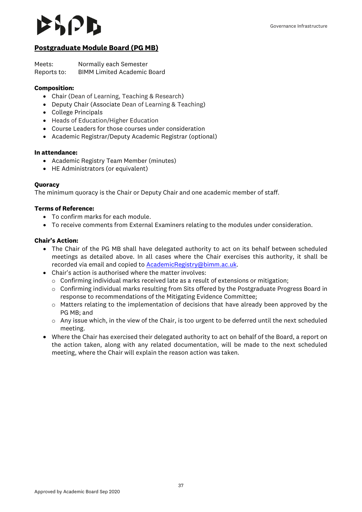#### <span id="page-36-0"></span>**Postgraduate Module Board (PG MB)**

Meets: Normally each Semester Reports to: BIMM Limited Academic Board

#### **Composition:**

- Chair (Dean of Learning, Teaching & Research)
- Deputy Chair (Associate Dean of Learning & Teaching)
- College Principals
- Heads of Education/Higher Education
- Course Leaders for those courses under consideration
- Academic Registrar/Deputy Academic Registrar (optional)

#### **In attendance:**

- Academic Registry Team Member (minutes)
- HE Administrators (or equivalent)

#### **Quoracy**

The minimum quoracy is the Chair or Deputy Chair and one academic member of staff.

#### **Terms of Reference:**

- To confirm marks for each module.
- To receive comments from External Examiners relating to the modules under consideration.

- The Chair of the PG MB shall have delegated authority to act on its behalf between scheduled meetings as detailed above. In all cases where the Chair exercises this authority, it shall be recorded via email and copied t[o AcademicRegistry@bimm.ac.uk.](mailto:AcademicRegistry@bimm.ac.uk)
- Chair's action is authorised where the matter involves:
	- $\circ$  Confirming individual marks received late as a result of extensions or mitigation;
	- o Confirming individual marks resulting from Sits offered by the Postgraduate Progress Board in response to recommendations of the Mitigating Evidence Committee;
	- o Matters relating to the implementation of decisions that have already been approved by the PG MB; and
	- $\circ$  Any issue which, in the view of the Chair, is too urgent to be deferred until the next scheduled meeting.
- Where the Chair has exercised their delegated authority to act on behalf of the Board, a report on the action taken, along with any related documentation, will be made to the next scheduled meeting, where the Chair will explain the reason action was taken.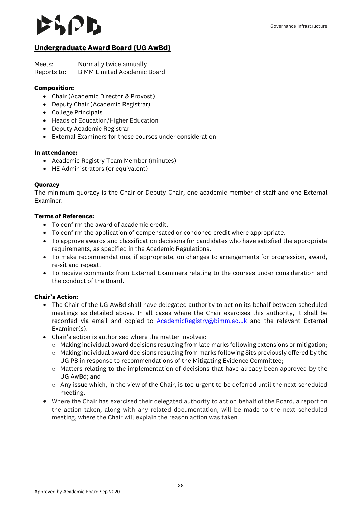### $|V|$

### <span id="page-37-0"></span>**Undergraduate Award Board (UG AwBd)**

Meets: Normally twice annually Reports to: BIMM Limited Academic Board

#### **Composition:**

- Chair (Academic Director & Provost)
- Deputy Chair (Academic Registrar)
- College Principals
- Heads of Education/Higher Education
- Deputy Academic Registrar
- External Examiners for those courses under consideration

#### **In attendance:**

- Academic Registry Team Member (minutes)
- HE Administrators (or equivalent)

#### **Quoracy**

The minimum quoracy is the Chair or Deputy Chair, one academic member of staff and one External Examiner.

#### **Terms of Reference:**

- To confirm the award of academic credit.
- To confirm the application of compensated or condoned credit where appropriate.
- To approve awards and classification decisions for candidates who have satisfied the appropriate requirements, as specified in the Academic Regulations.
- To make recommendations, if appropriate, on changes to arrangements for progression, award, re-sit and repeat.
- To receive comments from External Examiners relating to the courses under consideration and the conduct of the Board.

- The Chair of the UG AwBd shall have delegated authority to act on its behalf between scheduled meetings as detailed above. In all cases where the Chair exercises this authority, it shall be recorded via email and copied to [AcademicRegistry@bimm.ac.uk](mailto:AcademicRegistry@bimm.ac.uk) and the relevant External Examiner(s).
- Chair's action is authorised where the matter involves:
	- o Making individual award decisions resulting from late marks following extensions or mitigation;
	- $\circ$  Making individual award decisions resulting from marks following Sits previously offered by the UG PB in response to recommendations of the Mitigating Evidence Committee;
	- o Matters relating to the implementation of decisions that have already been approved by the UG AwBd; and
	- o Any issue which, in the view of the Chair, is too urgent to be deferred until the next scheduled meeting.
- Where the Chair has exercised their delegated authority to act on behalf of the Board, a report on the action taken, along with any related documentation, will be made to the next scheduled meeting, where the Chair will explain the reason action was taken.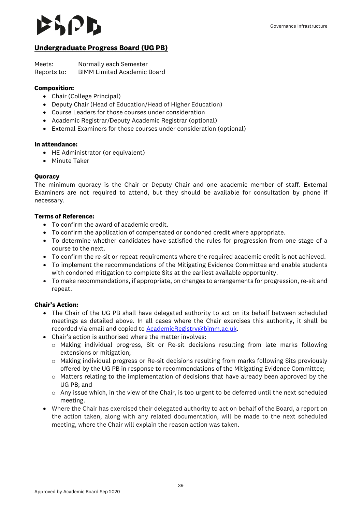### $|J|$

#### <span id="page-38-0"></span>**Undergraduate Progress Board (UG PB)**

Meets: Normally each Semester Reports to: BIMM Limited Academic Board

#### **Composition:**

- Chair (College Principal)
- Deputy Chair (Head of Education/Head of Higher Education)
- Course Leaders for those courses under consideration
- Academic Registrar/Deputy Academic Registrar (optional)
- External Examiners for those courses under consideration (optional)

#### **In attendance:**

- HE Administrator (or equivalent)
- Minute Taker

#### **Quoracy**

The minimum quoracy is the Chair or Deputy Chair and one academic member of staff. External Examiners are not required to attend, but they should be available for consultation by phone if necessary.

#### **Terms of Reference:**

- To confirm the award of academic credit.
- To confirm the application of compensated or condoned credit where appropriate.
- To determine whether candidates have satisfied the rules for progression from one stage of a course to the next.
- To confirm the re-sit or repeat requirements where the required academic credit is not achieved.
- To implement the recommendations of the Mitigating Evidence Committee and enable students with condoned mitigation to complete Sits at the earliest available opportunity.
- To make recommendations, if appropriate, on changes to arrangements for progression, re-sit and repeat.

- The Chair of the UG PB shall have delegated authority to act on its behalf between scheduled meetings as detailed above. In all cases where the Chair exercises this authority, it shall be recorded via email and copied to **AcademicRegistry@bimm.ac.uk.**
- Chair's action is authorised where the matter involves:
	- o Making individual progress, Sit or Re-sit decisions resulting from late marks following extensions or mitigation;
	- o Making individual progress or Re-sit decisions resulting from marks following Sits previously offered by the UG PB in response to recommendations of the Mitigating Evidence Committee;
	- o Matters relating to the implementation of decisions that have already been approved by the UG PB; and
	- $\circ$  Any issue which, in the view of the Chair, is too urgent to be deferred until the next scheduled meeting.
- Where the Chair has exercised their delegated authority to act on behalf of the Board, a report on the action taken, along with any related documentation, will be made to the next scheduled meeting, where the Chair will explain the reason action was taken.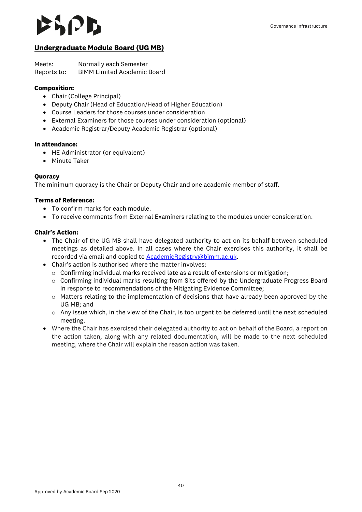#### <span id="page-39-0"></span>**Undergraduate Module Board (UG MB)**

Meets: Normally each Semester Reports to: BIMM Limited Academic Board

#### **Composition:**

- Chair (College Principal)
- Deputy Chair (Head of Education/Head of Higher Education)
- Course Leaders for those courses under consideration
- External Examiners for those courses under consideration (optional)
- Academic Registrar/Deputy Academic Registrar (optional)

#### **In attendance:**

- HE Administrator (or equivalent)
- Minute Taker

#### **Quoracy**

The minimum quoracy is the Chair or Deputy Chair and one academic member of staff.

#### **Terms of Reference:**

- To confirm marks for each module.
- To receive comments from External Examiners relating to the modules under consideration.

- The Chair of the UG MB shall have delegated authority to act on its behalf between scheduled meetings as detailed above. In all cases where the Chair exercises this authority, it shall be recorded via email and copied t[o AcademicRegistry@bimm.ac.uk.](mailto:AcademicRegistry@bimm.ac.uk)
- Chair's action is authorised where the matter involves:
	- $\circ$  Confirming individual marks received late as a result of extensions or mitigation;
	- o Confirming individual marks resulting from Sits offered by the Undergraduate Progress Board in response to recommendations of the Mitigating Evidence Committee;
	- $\circ$  Matters relating to the implementation of decisions that have already been approved by the UG MB; and
	- $\circ$  Any issue which, in the view of the Chair, is too urgent to be deferred until the next scheduled meeting.
- Where the Chair has exercised their delegated authority to act on behalf of the Board, a report on the action taken, along with any related documentation, will be made to the next scheduled meeting, where the Chair will explain the reason action was taken.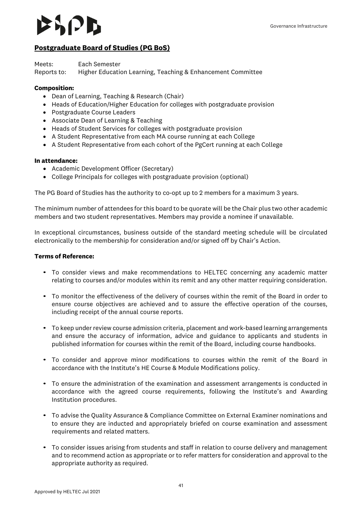### $|J|$

#### <span id="page-40-0"></span>**Postgraduate Board of Studies (PG BoS)**

Meets: Each Semester Reports to: Higher Education Learning, Teaching & Enhancement Committee

#### **Composition:**

- Dean of Learning, Teaching & Research (Chair)
- Heads of Education/Higher Education for colleges with postgraduate provision
- Postgraduate Course Leaders
- Associate Dean of Learning & Teaching
- Heads of Student Services for colleges with postgraduate provision
- A Student Representative from each MA course running at each College
- A Student Representative from each cohort of the PgCert running at each College

#### **In attendance:**

- Academic Development Officer (Secretary)
- College Principals for colleges with postgraduate provision (optional)

The PG Board of Studies has the authority to co-opt up to 2 members for a maximum 3 years.

The minimum number of attendees for this board to be quorate will be the Chair plus two other academic members and two student representatives. Members may provide a nominee if unavailable.

In exceptional circumstances, business outside of the standard meeting schedule will be circulated electronically to the membership for consideration and/or signed off by Chair's Action.

#### **Terms of Reference:**

- To consider views and make recommendations to HELTEC concerning any academic matter relating to courses and/or modules within its remit and any other matter requiring consideration.
- To monitor the effectiveness of the delivery of courses within the remit of the Board in order to ensure course objectives are achieved and to assure the effective operation of the courses, including receipt of the annual course reports.
- To keep under review course admission criteria, placement and work-based learning arrangements and ensure the accuracy of information, advice and guidance to applicants and students in published information for courses within the remit of the Board, including course handbooks.
- To consider and approve minor modifications to courses within the remit of the Board in accordance with the Institute's HE Course & Module Modifications policy.
- To ensure the administration of the examination and assessment arrangements is conducted in accordance with the agreed course requirements, following the Institute's and Awarding Institution procedures.
- To advise the Quality Assurance & Compliance Committee on External Examiner nominations and to ensure they are inducted and appropriately briefed on course examination and assessment requirements and related matters.
- To consider issues arising from students and staff in relation to course delivery and management and to recommend action as appropriate or to refer matters for consideration and approval to the appropriate authority as required.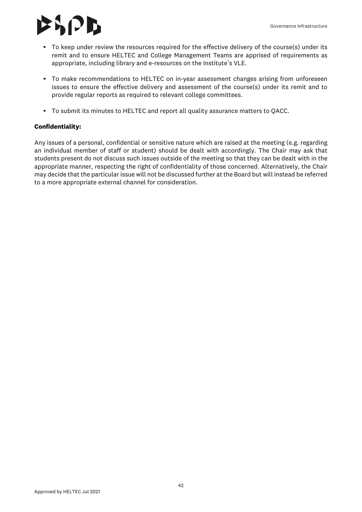## $\mathcal{L}$   $\mathcal{L}$

- To keep under review the resources required for the effective delivery of the course(s) under its remit and to ensure HELTEC and College Management Teams are apprised of requirements as appropriate, including library and e-resources on the Institute's VLE.
- To make recommendations to HELTEC on in-year assessment changes arising from unforeseen issues to ensure the effective delivery and assessment of the course(s) under its remit and to provide regular reports as required to relevant college committees.
- To submit its minutes to HELTEC and report all quality assurance matters to QACC.

#### **Confidentiality:**

Any issues of a personal, confidential or sensitive nature which are raised at the meeting (e.g. regarding an individual member of staff or student) should be dealt with accordingly. The Chair may ask that students present do not discuss such issues outside of the meeting so that they can be dealt with in the appropriate manner, respecting the right of confidentiality of those concerned. Alternatively, the Chair may decide that the particular issue will not be discussed further at the Board but will instead be referred to a more appropriate external channel for consideration.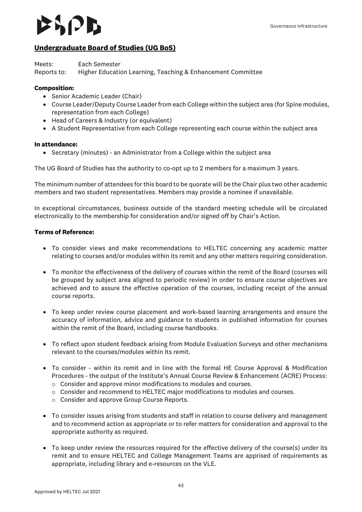### $|J|$

### <span id="page-42-0"></span>**Undergraduate Board of Studies (UG BoS)**

Meets: Each Semester Reports to: Higher Education Learning, Teaching & Enhancement Committee

#### **Composition:**

- Senior Academic Leader (Chair)
- Course Leader/Deputy Course Leader from each College within the subject area (for Spine modules, representation from each College)
- Head of Careers & Industry (or equivalent)
- A Student Representative from each College representing each course within the subject area

#### **In attendance:**

• Secretary (minutes) - an Administrator from a College within the subject area

The UG Board of Studies has the authority to co-opt up to 2 members for a maximum 3 years.

The minimum number of attendees for this board to be quorate will be the Chair plus two other academic members and two student representatives. Members may provide a nominee if unavailable.

In exceptional circumstances, business outside of the standard meeting schedule will be circulated electronically to the membership for consideration and/or signed off by Chair's Action.

#### **Terms of Reference:**

- To consider views and make recommendations to HELTEC concerning any academic matter relating to courses and/or modules within its remit and any other matters requiring consideration.
- To monitor the effectiveness of the delivery of courses within the remit of the Board (courses will be grouped by subject area aligned to periodic review) in order to ensure course objectives are achieved and to assure the effective operation of the courses, including receipt of the annual course reports.
- To keep under review course placement and work-based learning arrangements and ensure the accuracy of information, advice and guidance to students in published information for courses within the remit of the Board, including course handbooks.
- To reflect upon student feedback arising from Module Evaluation Surveys and other mechanisms relevant to the courses/modules within its remit.
- To consider within its remit and in line with the formal HE Course Approval & Modification Procedures - the output of the Institute's Annual Course Review & Enhancement (ACRE) Process:
	- $\circ$  Consider and approve minor modifications to modules and courses.
	- o Consider and recommend to HELTEC major modifications to modules and courses.
	- o Consider and approve Group Course Reports.
- To consider issues arising from students and staff in relation to course delivery and management and to recommend action as appropriate or to refer matters for consideration and approval to the appropriate authority as required.
- To keep under review the resources required for the effective delivery of the course(s) under its remit and to ensure HELTEC and College Management Teams are apprised of requirements as appropriate, including library and e-resources on the VLE.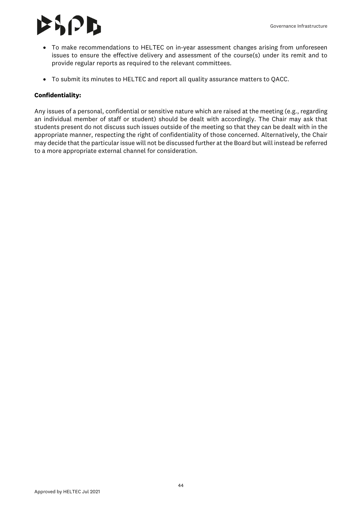## $\mathbf{S}$ PD

- To make recommendations to HELTEC on in-year assessment changes arising from unforeseen issues to ensure the effective delivery and assessment of the course(s) under its remit and to provide regular reports as required to the relevant committees.
- To submit its minutes to HELTEC and report all quality assurance matters to QACC.

#### **Confidentiality:**

Any issues of a personal, confidential or sensitive nature which are raised at the meeting (e.g., regarding an individual member of staff or student) should be dealt with accordingly. The Chair may ask that students present do not discuss such issues outside of the meeting so that they can be dealt with in the appropriate manner, respecting the right of confidentiality of those concerned. Alternatively, the Chair may decide that the particular issue will not be discussed further at the Board but will instead be referred to a more appropriate external channel for consideration.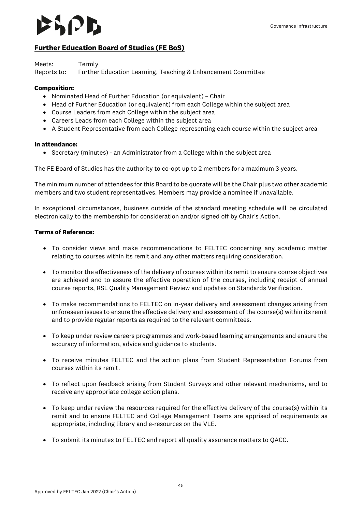### $|J|$

#### <span id="page-44-0"></span>**Further Education Board of Studies (FE BoS)**

Meets: Termly

Reports to: Further Education Learning, Teaching & Enhancement Committee

#### **Composition:**

- Nominated Head of Further Education (or equivalent) Chair
- Head of Further Education (or equivalent) from each College within the subject area
- Course Leaders from each College within the subject area
- Careers Leads from each College within the subject area
- A Student Representative from each College representing each course within the subject area

#### **In attendance:**

• Secretary (minutes) - an Administrator from a College within the subject area

The FE Board of Studies has the authority to co-opt up to 2 members for a maximum 3 years.

The minimum number of attendees for this Board to be quorate will be the Chair plus two other academic members and two student representatives. Members may provide a nominee if unavailable.

In exceptional circumstances, business outside of the standard meeting schedule will be circulated electronically to the membership for consideration and/or signed off by Chair's Action.

#### **Terms of Reference:**

- To consider views and make recommendations to FELTEC concerning any academic matter relating to courses within its remit and any other matters requiring consideration.
- To monitor the effectiveness of the delivery of courses within its remit to ensure course objectives are achieved and to assure the effective operation of the courses, including receipt of annual course reports, RSL Quality Management Review and updates on Standards Verification.
- To make recommendations to FELTEC on in-year delivery and assessment changes arising from unforeseen issues to ensure the effective delivery and assessment of the course(s) within its remit and to provide regular reports as required to the relevant committees.
- To keep under review careers programmes and work-based learning arrangements and ensure the accuracy of information, advice and guidance to students.
- To receive minutes FELTEC and the action plans from Student Representation Forums from courses within its remit.
- To reflect upon feedback arising from Student Surveys and other relevant mechanisms, and to receive any appropriate college action plans.
- To keep under review the resources required for the effective delivery of the course(s) within its remit and to ensure FELTEC and College Management Teams are apprised of requirements as appropriate, including library and e-resources on the VLE.
- To submit its minutes to FELTEC and report all quality assurance matters to QACC.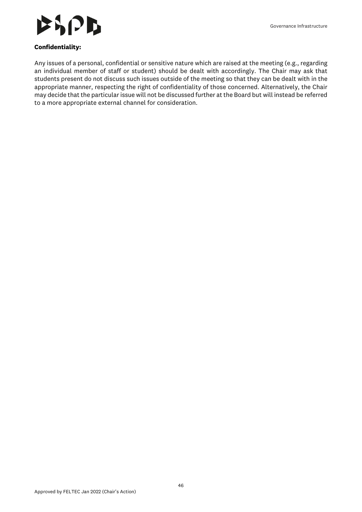

#### **Confidentiality:**

Any issues of a personal, confidential or sensitive nature which are raised at the meeting (e.g., regarding an individual member of staff or student) should be dealt with accordingly. The Chair may ask that students present do not discuss such issues outside of the meeting so that they can be dealt with in the appropriate manner, respecting the right of confidentiality of those concerned. Alternatively, the Chair may decide that the particular issue will not be discussed further at the Board but will instead be referred to a more appropriate external channel for consideration.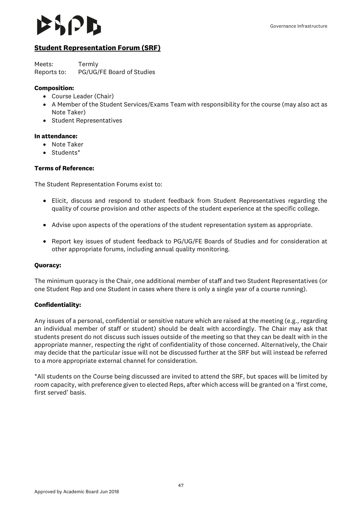#### <span id="page-46-0"></span>**Student Representation Forum (SRF)**

Meets: Termly Reports to: PG/UG/FE Board of Studies

#### **Composition:**

- Course Leader (Chair)
- A Member of the Student Services/Exams Team with responsibility for the course (may also act as Note Taker)
- Student Representatives

#### **In attendance:**

- Note Taker
- Students\*

#### **Terms of Reference:**

The Student Representation Forums exist to:

- Elicit, discuss and respond to student feedback from Student Representatives regarding the quality of course provision and other aspects of the student experience at the specific college.
- Advise upon aspects of the operations of the student representation system as appropriate.
- Report key issues of student feedback to PG/UG/FE Boards of Studies and for consideration at other appropriate forums, including annual quality monitoring.

#### **Quoracy:**

The minimum quoracy is the Chair, one additional member of staff and two Student Representatives (or one Student Rep and one Student in cases where there is only a single year of a course running).

#### **Confidentiality:**

Any issues of a personal, confidential or sensitive nature which are raised at the meeting (e.g., regarding an individual member of staff or student) should be dealt with accordingly. The Chair may ask that students present do not discuss such issues outside of the meeting so that they can be dealt with in the appropriate manner, respecting the right of confidentiality of those concerned. Alternatively, the Chair may decide that the particular issue will not be discussed further at the SRF but will instead be referred to a more appropriate external channel for consideration.

\*All students on the Course being discussed are invited to attend the SRF, but spaces will be limited by room capacity, with preference given to elected Reps, after which access will be granted on a 'first come, first served' basis.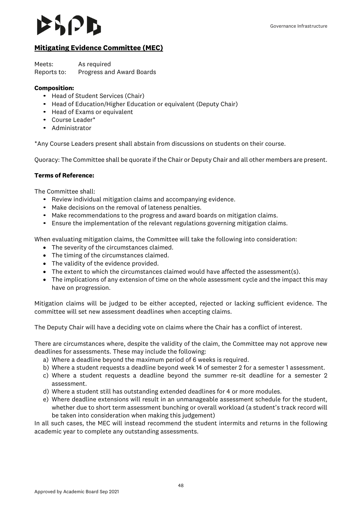### SIZD

#### <span id="page-47-0"></span>**Mitigating Evidence Committee (MEC)**

Meets: As required Reports to: Progress and Award Boards

#### **Composition:**

- Head of Student Services (Chair)
- Head of Education/Higher Education or equivalent (Deputy Chair)
- Head of Exams or equivalent
- Course Leader\*
- Administrator

\*Any Course Leaders present shall abstain from discussions on students on their course.

Quoracy: The Committee shall be quorate if the Chair or Deputy Chair and all other members are present.

#### **Terms of Reference:**

The Committee shall:

- Review individual mitigation claims and accompanying evidence.
- Make decisions on the removal of lateness penalties.
- Make recommendations to the progress and award boards on mitigation claims.
- Ensure the implementation of the relevant regulations governing mitigation claims.

When evaluating mitigation claims, the Committee will take the following into consideration:

- The severity of the circumstances claimed.
- The timing of the circumstances claimed.
- The validity of the evidence provided.
- The extent to which the circumstances claimed would have affected the assessment(s).
- The implications of any extension of time on the whole assessment cycle and the impact this may have on progression.

Mitigation claims will be judged to be either accepted, rejected or lacking sufficient evidence. The committee will set new assessment deadlines when accepting claims.

The Deputy Chair will have a deciding vote on claims where the Chair has a conflict of interest.

There are circumstances where, despite the validity of the claim, the Committee may not approve new deadlines for assessments. These may include the following:

- a) Where a deadline beyond the maximum period of 6 weeks is required.
- b) Where a student requests a deadline beyond week 14 of semester 2 for a semester 1 assessment.
- c) Where a student requests a deadline beyond the summer re-sit deadline for a semester 2 assessment.
- d) Where a student still has outstanding extended deadlines for 4 or more modules.
- e) Where deadline extensions will result in an unmanageable assessment schedule for the student, whether due to short term assessment bunching or overall workload (a student's track record will be taken into consideration when making this judgement)

In all such cases, the MEC will instead recommend the student intermits and returns in the following academic year to complete any outstanding assessments.